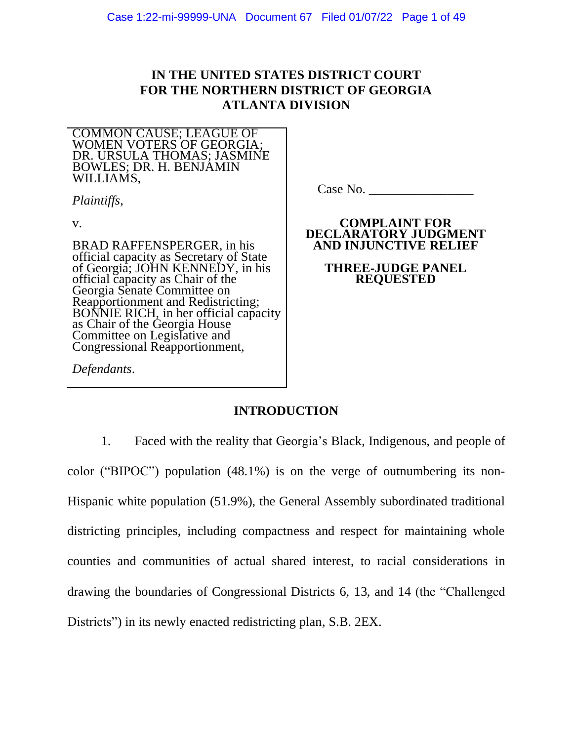# **IN THE UNITED STATES DISTRICT COURT FOR THE NORTHERN DISTRICT OF GEORGIA ATLANTA DIVISION**

COMMON CAUSE; LEAGUE OF WOMEN VOTERS OF GEORGIA; DR. URSULA THOMAS; JASMINE BOWLES; DR. H. BENJAMIN WILLIAMS,

*Plaintiffs*,

v.

BRAD RAFFENSPERGER, in his official capacity as Secretary of State of Georgia; JOHN KENNEDY, in his official capacity as Chair of the Georgia Senate Committee on Reapportionment and Redistricting; BONNIE RICH, in her official capacity as Chair of the Georgia House Committee on Legislative and Congressional Reapportionment,

*Defendants*.

Case No. \_\_\_\_\_\_\_\_\_\_\_\_\_\_\_\_

## **COMPLAINT FOR DECLARATORY JUDGMENT AND INJUNCTIVE RELIEF**

**THREE-JUDGE PANEL REQUESTED**

# **INTRODUCTION**

1. Faced with the reality that Georgia's Black, Indigenous, and people of color ("BIPOC") population (48.1%) is on the verge of outnumbering its non-Hispanic white population (51.9%), the General Assembly subordinated traditional districting principles, including compactness and respect for maintaining whole counties and communities of actual shared interest, to racial considerations in drawing the boundaries of Congressional Districts 6, 13, and 14 (the "Challenged Districts") in its newly enacted redistricting plan, S.B. 2EX.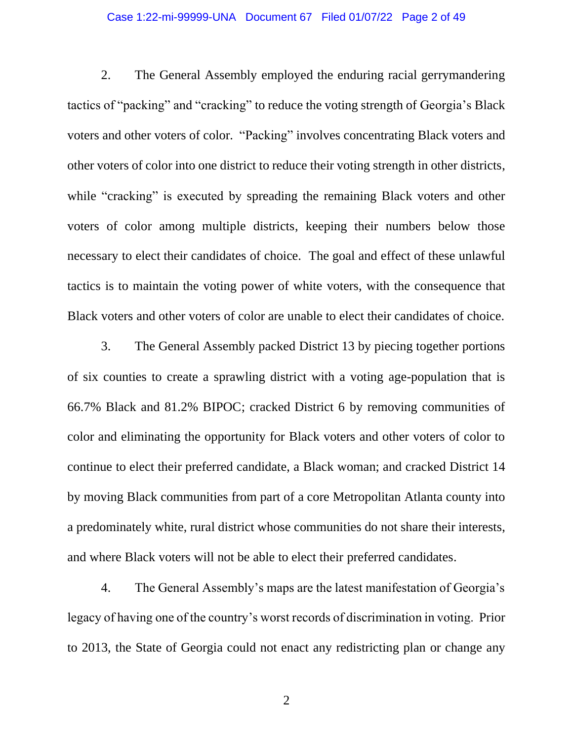## Case 1:22-mi-99999-UNA Document 67 Filed 01/07/22 Page 2 of 49

2. The General Assembly employed the enduring racial gerrymandering tactics of "packing" and "cracking" to reduce the voting strength of Georgia's Black voters and other voters of color. "Packing" involves concentrating Black voters and other voters of color into one district to reduce their voting strength in other districts, while "cracking" is executed by spreading the remaining Black voters and other voters of color among multiple districts, keeping their numbers below those necessary to elect their candidates of choice. The goal and effect of these unlawful tactics is to maintain the voting power of white voters, with the consequence that Black voters and other voters of color are unable to elect their candidates of choice.

3. The General Assembly packed District 13 by piecing together portions of six counties to create a sprawling district with a voting age-population that is 66.7% Black and 81.2% BIPOC; cracked District 6 by removing communities of color and eliminating the opportunity for Black voters and other voters of color to continue to elect their preferred candidate, a Black woman; and cracked District 14 by moving Black communities from part of a core Metropolitan Atlanta county into a predominately white, rural district whose communities do not share their interests, and where Black voters will not be able to elect their preferred candidates.

4. The General Assembly's maps are the latest manifestation of Georgia's legacy of having one of the country's worst records of discrimination in voting. Prior to 2013, the State of Georgia could not enact any redistricting plan or change any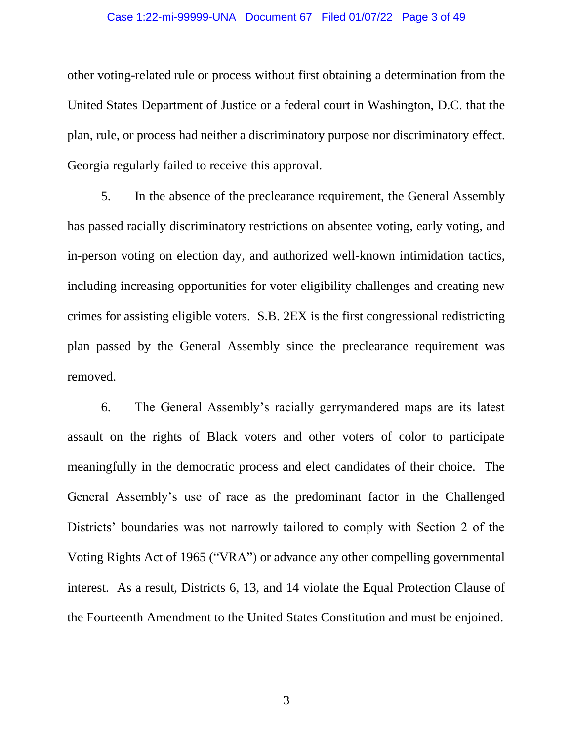## Case 1:22-mi-99999-UNA Document 67 Filed 01/07/22 Page 3 of 49

other voting-related rule or process without first obtaining a determination from the United States Department of Justice or a federal court in Washington, D.C. that the plan, rule, or process had neither a discriminatory purpose nor discriminatory effect. Georgia regularly failed to receive this approval.

5. In the absence of the preclearance requirement, the General Assembly has passed racially discriminatory restrictions on absentee voting, early voting, and in-person voting on election day, and authorized well-known intimidation tactics, including increasing opportunities for voter eligibility challenges and creating new crimes for assisting eligible voters. S.B. 2EX is the first congressional redistricting plan passed by the General Assembly since the preclearance requirement was removed.

6. The General Assembly's racially gerrymandered maps are its latest assault on the rights of Black voters and other voters of color to participate meaningfully in the democratic process and elect candidates of their choice. The General Assembly's use of race as the predominant factor in the Challenged Districts' boundaries was not narrowly tailored to comply with Section 2 of the Voting Rights Act of 1965 ("VRA") or advance any other compelling governmental interest. As a result, Districts 6, 13, and 14 violate the Equal Protection Clause of the Fourteenth Amendment to the United States Constitution and must be enjoined.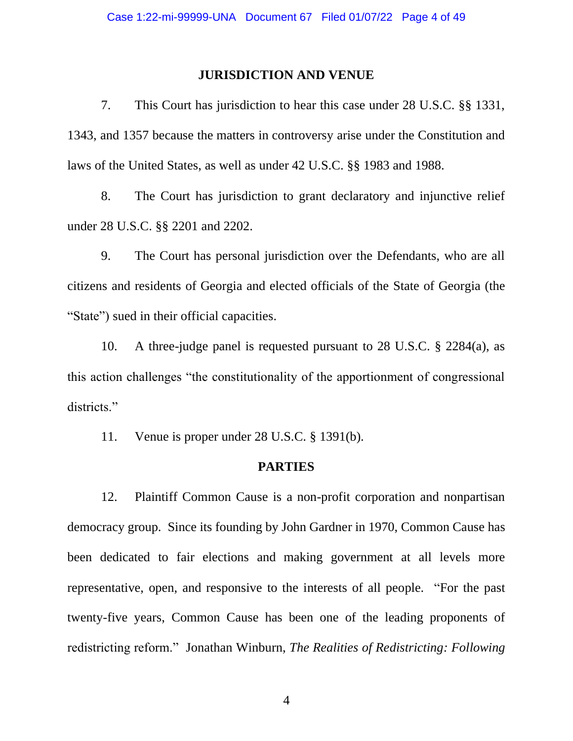# **JURISDICTION AND VENUE**

7. This Court has jurisdiction to hear this case under 28 U.S.C. §§ 1331, 1343, and 1357 because the matters in controversy arise under the Constitution and laws of the United States, as well as under 42 U.S.C. §§ 1983 and 1988.

8. The Court has jurisdiction to grant declaratory and injunctive relief under 28 U.S.C. §§ 2201 and 2202.

9. The Court has personal jurisdiction over the Defendants, who are all citizens and residents of Georgia and elected officials of the State of Georgia (the "State") sued in their official capacities.

10. A three-judge panel is requested pursuant to 28 U.S.C. § 2284(a), as this action challenges "the constitutionality of the apportionment of congressional districts."

11. Venue is proper under 28 U.S.C. § 1391(b).

# **PARTIES**

12. Plaintiff Common Cause is a non-profit corporation and nonpartisan democracy group. Since its founding by John Gardner in 1970, Common Cause has been dedicated to fair elections and making government at all levels more representative, open, and responsive to the interests of all people. "For the past twenty-five years, Common Cause has been one of the leading proponents of redistricting reform." Jonathan Winburn, *The Realities of Redistricting: Following*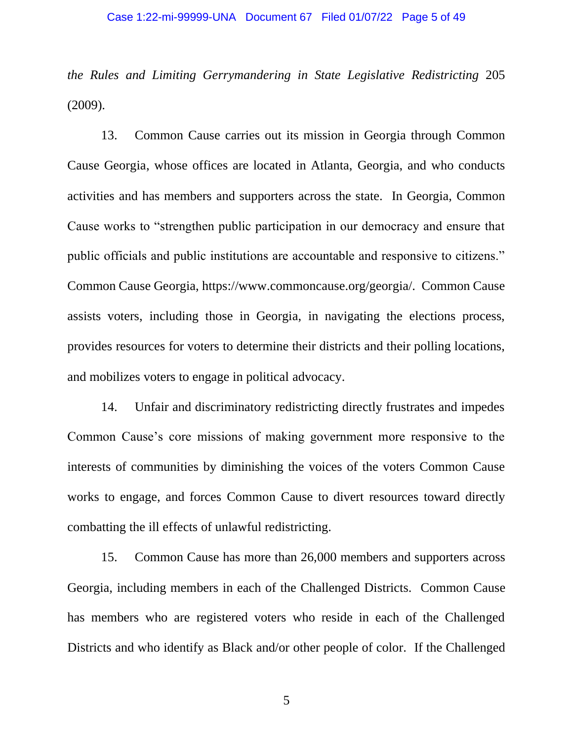*the Rules and Limiting Gerrymandering in State Legislative Redistricting* 205 (2009).

13. Common Cause carries out its mission in Georgia through Common Cause Georgia, whose offices are located in Atlanta, Georgia, and who conducts activities and has members and supporters across the state. In Georgia, Common Cause works to "strengthen public participation in our democracy and ensure that public officials and public institutions are accountable and responsive to citizens." Common Cause Georgia, https://www.commoncause.org/georgia/. Common Cause assists voters, including those in Georgia, in navigating the elections process, provides resources for voters to determine their districts and their polling locations, and mobilizes voters to engage in political advocacy.

14. Unfair and discriminatory redistricting directly frustrates and impedes Common Cause's core missions of making government more responsive to the interests of communities by diminishing the voices of the voters Common Cause works to engage, and forces Common Cause to divert resources toward directly combatting the ill effects of unlawful redistricting.

15. Common Cause has more than 26,000 members and supporters across Georgia, including members in each of the Challenged Districts. Common Cause has members who are registered voters who reside in each of the Challenged Districts and who identify as Black and/or other people of color. If the Challenged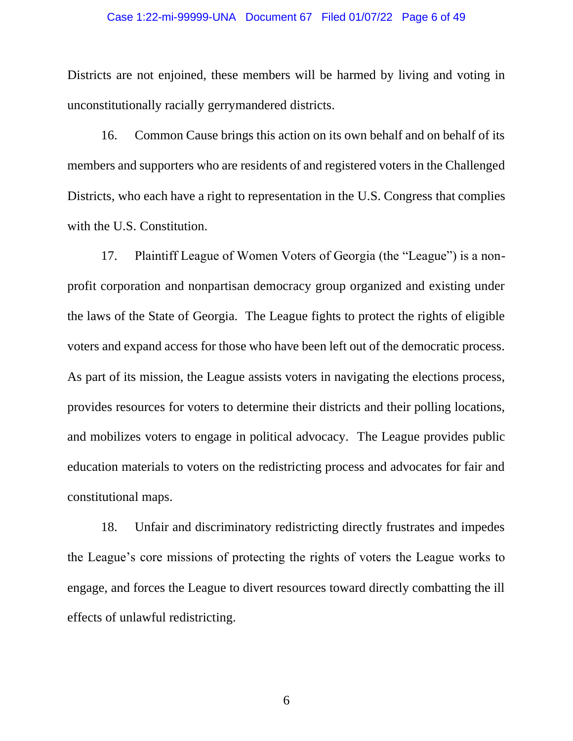### Case 1:22-mi-99999-UNA Document 67 Filed 01/07/22 Page 6 of 49

Districts are not enjoined, these members will be harmed by living and voting in unconstitutionally racially gerrymandered districts.

16. Common Cause brings this action on its own behalf and on behalf of its members and supporters who are residents of and registered voters in the Challenged Districts, who each have a right to representation in the U.S. Congress that complies with the U.S. Constitution.

17. Plaintiff League of Women Voters of Georgia (the "League") is a nonprofit corporation and nonpartisan democracy group organized and existing under the laws of the State of Georgia. The League fights to protect the rights of eligible voters and expand access for those who have been left out of the democratic process. As part of its mission, the League assists voters in navigating the elections process, provides resources for voters to determine their districts and their polling locations, and mobilizes voters to engage in political advocacy. The League provides public education materials to voters on the redistricting process and advocates for fair and constitutional maps.

18. Unfair and discriminatory redistricting directly frustrates and impedes the League's core missions of protecting the rights of voters the League works to engage, and forces the League to divert resources toward directly combatting the ill effects of unlawful redistricting.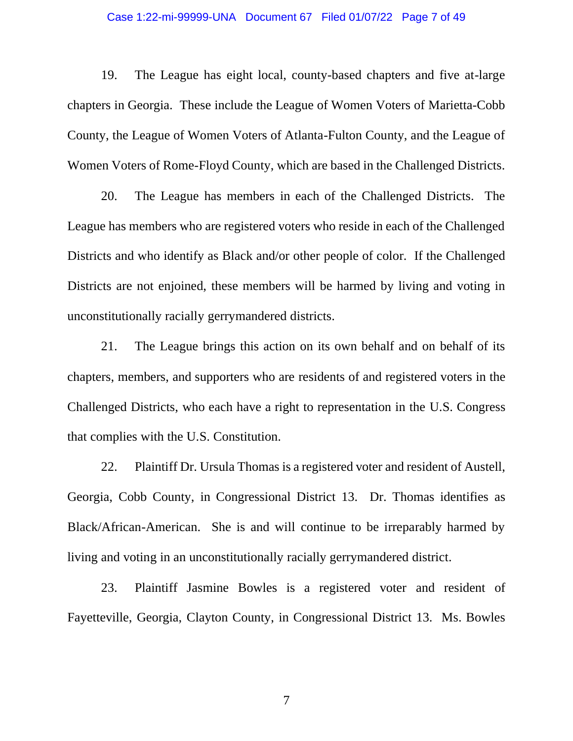#### Case 1:22-mi-99999-UNA Document 67 Filed 01/07/22 Page 7 of 49

19. The League has eight local, county-based chapters and five at-large chapters in Georgia. These include the League of Women Voters of Marietta-Cobb County, the League of Women Voters of Atlanta-Fulton County, and the League of Women Voters of Rome-Floyd County, which are based in the Challenged Districts.

20. The League has members in each of the Challenged Districts. The League has members who are registered voters who reside in each of the Challenged Districts and who identify as Black and/or other people of color. If the Challenged Districts are not enjoined, these members will be harmed by living and voting in unconstitutionally racially gerrymandered districts.

21. The League brings this action on its own behalf and on behalf of its chapters, members, and supporters who are residents of and registered voters in the Challenged Districts, who each have a right to representation in the U.S. Congress that complies with the U.S. Constitution.

22. Plaintiff Dr. Ursula Thomas is a registered voter and resident of Austell, Georgia, Cobb County, in Congressional District 13. Dr. Thomas identifies as Black/African-American. She is and will continue to be irreparably harmed by living and voting in an unconstitutionally racially gerrymandered district.

23. Plaintiff Jasmine Bowles is a registered voter and resident of Fayetteville, Georgia, Clayton County, in Congressional District 13. Ms. Bowles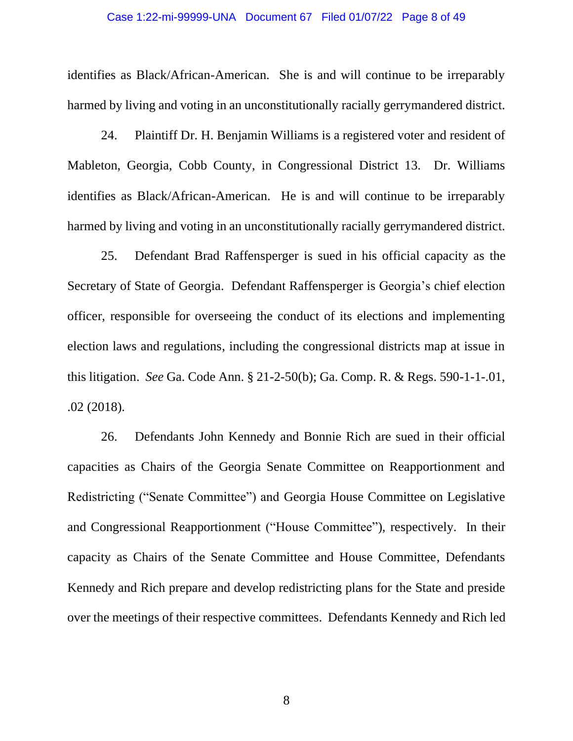### Case 1:22-mi-99999-UNA Document 67 Filed 01/07/22 Page 8 of 49

identifies as Black/African-American. She is and will continue to be irreparably harmed by living and voting in an unconstitutionally racially gerrymandered district.

24. Plaintiff Dr. H. Benjamin Williams is a registered voter and resident of Mableton, Georgia, Cobb County, in Congressional District 13. Dr. Williams identifies as Black/African-American. He is and will continue to be irreparably harmed by living and voting in an unconstitutionally racially gerrymandered district.

25. Defendant Brad Raffensperger is sued in his official capacity as the Secretary of State of Georgia. Defendant Raffensperger is Georgia's chief election officer, responsible for overseeing the conduct of its elections and implementing election laws and regulations, including the congressional districts map at issue in this litigation. *See* Ga. Code Ann. § 21-2-50(b); Ga. Comp. R. & Regs. 590-1-1-.01, .02 (2018).

26. Defendants John Kennedy and Bonnie Rich are sued in their official capacities as Chairs of the Georgia Senate Committee on Reapportionment and Redistricting ("Senate Committee") and Georgia House Committee on Legislative and Congressional Reapportionment ("House Committee"), respectively. In their capacity as Chairs of the Senate Committee and House Committee, Defendants Kennedy and Rich prepare and develop redistricting plans for the State and preside over the meetings of their respective committees. Defendants Kennedy and Rich led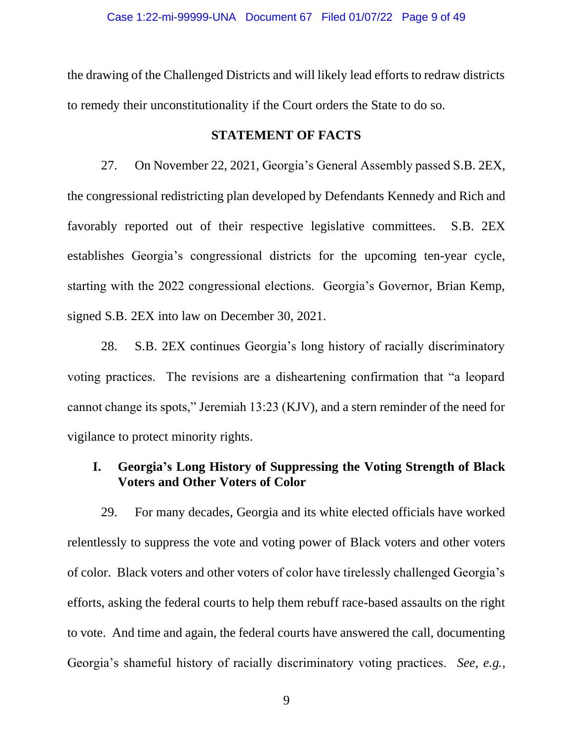the drawing of the Challenged Districts and will likely lead efforts to redraw districts to remedy their unconstitutionality if the Court orders the State to do so.

# **STATEMENT OF FACTS**

27. On November 22, 2021, Georgia's General Assembly passed S.B. 2EX, the congressional redistricting plan developed by Defendants Kennedy and Rich and favorably reported out of their respective legislative committees. S.B. 2EX establishes Georgia's congressional districts for the upcoming ten-year cycle, starting with the 2022 congressional elections. Georgia's Governor, Brian Kemp, signed S.B. 2EX into law on December 30, 2021.

28. S.B. 2EX continues Georgia's long history of racially discriminatory voting practices. The revisions are a disheartening confirmation that "a leopard cannot change its spots," Jeremiah 13:23 (KJV), and a stern reminder of the need for vigilance to protect minority rights.

# **I. Georgia's Long History of Suppressing the Voting Strength of Black Voters and Other Voters of Color**

29. For many decades, Georgia and its white elected officials have worked relentlessly to suppress the vote and voting power of Black voters and other voters of color. Black voters and other voters of color have tirelessly challenged Georgia's efforts, asking the federal courts to help them rebuff race-based assaults on the right to vote. And time and again, the federal courts have answered the call, documenting Georgia's shameful history of racially discriminatory voting practices. *See, e.g.*,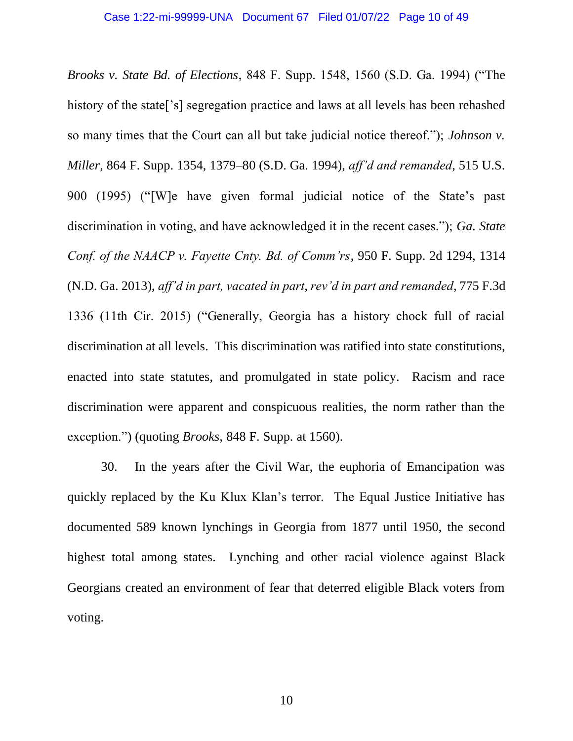*Brooks v. State Bd. of Elections*, 848 F. Supp. 1548, 1560 (S.D. Ga. 1994) ("The history of the state<sup>['s]</sup> segregation practice and laws at all levels has been rehashed so many times that the Court can all but take judicial notice thereof."); *Johnson v. Miller*, 864 F. Supp. 1354, 1379–80 (S.D. Ga. 1994), *aff'd and remanded*, 515 U.S. 900 (1995) ("[W]e have given formal judicial notice of the State's past discrimination in voting, and have acknowledged it in the recent cases."); *Ga. State Conf. of the NAACP v. Fayette Cnty. Bd. of Comm'rs*, 950 F. Supp. 2d 1294, 1314 (N.D. Ga. 2013), *aff'd in part, vacated in part*, *rev'd in part and remanded*, 775 F.3d 1336 (11th Cir. 2015) ("Generally, Georgia has a history chock full of racial discrimination at all levels. This discrimination was ratified into state constitutions, enacted into state statutes, and promulgated in state policy. Racism and race discrimination were apparent and conspicuous realities, the norm rather than the exception.") (quoting *Brooks*, 848 F. Supp. at 1560).

30. In the years after the Civil War, the euphoria of Emancipation was quickly replaced by the Ku Klux Klan's terror. The Equal Justice Initiative has documented 589 known lynchings in Georgia from 1877 until 1950, the second highest total among states. Lynching and other racial violence against Black Georgians created an environment of fear that deterred eligible Black voters from voting.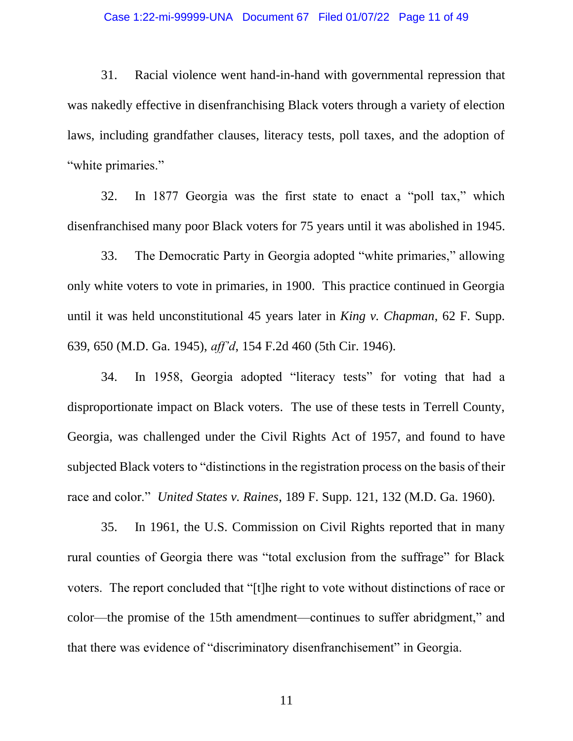## Case 1:22-mi-99999-UNA Document 67 Filed 01/07/22 Page 11 of 49

31. Racial violence went hand-in-hand with governmental repression that was nakedly effective in disenfranchising Black voters through a variety of election laws, including grandfather clauses, literacy tests, poll taxes, and the adoption of "white primaries."

32. In 1877 Georgia was the first state to enact a "poll tax," which disenfranchised many poor Black voters for 75 years until it was abolished in 1945.

33. The Democratic Party in Georgia adopted "white primaries," allowing only white voters to vote in primaries, in 1900. This practice continued in Georgia until it was held unconstitutional 45 years later in *King v. Chapman*, 62 F. Supp. 639, 650 (M.D. Ga. 1945), *aff'd*, 154 F.2d 460 (5th Cir. 1946).

34. In 1958, Georgia adopted "literacy tests" for voting that had a disproportionate impact on Black voters. The use of these tests in Terrell County, Georgia, was challenged under the Civil Rights Act of 1957, and found to have subjected Black voters to "distinctions in the registration process on the basis of their race and color." *United States v. Raines*, 189 F. Supp. 121, 132 (M.D. Ga. 1960).

35. In 1961, the U.S. Commission on Civil Rights reported that in many rural counties of Georgia there was "total exclusion from the suffrage" for Black voters. The report concluded that "[t]he right to vote without distinctions of race or color—the promise of the 15th amendment—continues to suffer abridgment," and that there was evidence of "discriminatory disenfranchisement" in Georgia.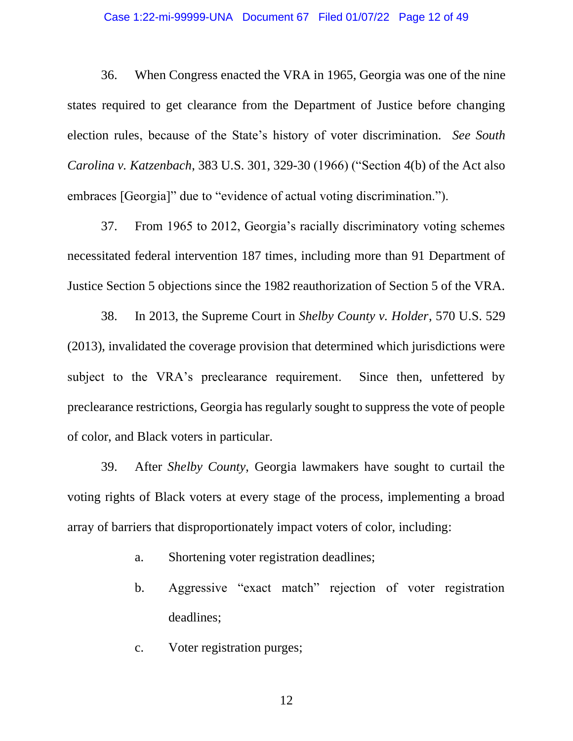## Case 1:22-mi-99999-UNA Document 67 Filed 01/07/22 Page 12 of 49

36. When Congress enacted the VRA in 1965, Georgia was one of the nine states required to get clearance from the Department of Justice before changing election rules, because of the State's history of voter discrimination. *See South Carolina v. Katzenbach*, 383 U.S. 301, 329-30 (1966) ("Section 4(b) of the Act also embraces [Georgia]" due to "evidence of actual voting discrimination.").

37. From 1965 to 2012, Georgia's racially discriminatory voting schemes necessitated federal intervention 187 times, including more than 91 Department of Justice Section 5 objections since the 1982 reauthorization of Section 5 of the VRA.

38. In 2013, the Supreme Court in *Shelby County v. Holder*, 570 U.S. 529 (2013), invalidated the coverage provision that determined which jurisdictions were subject to the VRA's preclearance requirement. Since then, unfettered by preclearance restrictions, Georgia has regularly sought to suppress the vote of people of color, and Black voters in particular.

39. After *Shelby County*, Georgia lawmakers have sought to curtail the voting rights of Black voters at every stage of the process, implementing a broad array of barriers that disproportionately impact voters of color, including:

- a. Shortening voter registration deadlines;
- b. Aggressive "exact match" rejection of voter registration deadlines;
- c. Voter registration purges;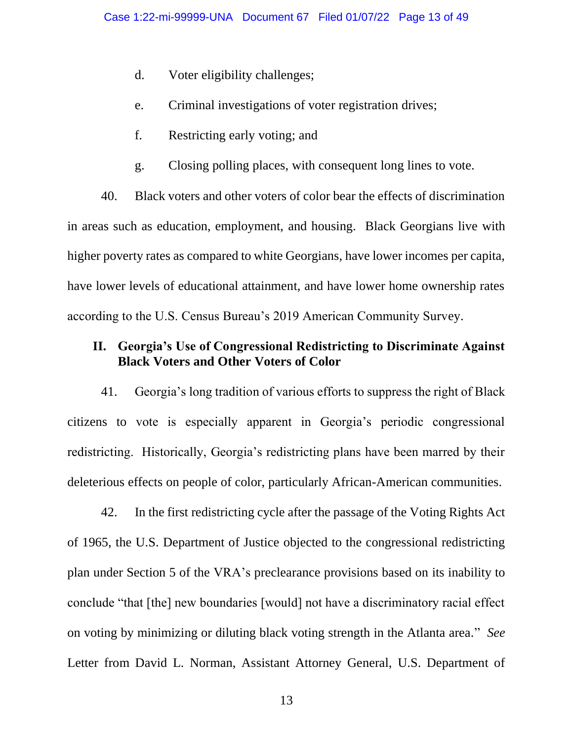- d. Voter eligibility challenges;
- e. Criminal investigations of voter registration drives;
- f. Restricting early voting; and
- g. Closing polling places, with consequent long lines to vote.

40. Black voters and other voters of color bear the effects of discrimination in areas such as education, employment, and housing. Black Georgians live with higher poverty rates as compared to white Georgians, have lower incomes per capita, have lower levels of educational attainment, and have lower home ownership rates according to the U.S. Census Bureau's 2019 American Community Survey.

# **II. Georgia's Use of Congressional Redistricting to Discriminate Against Black Voters and Other Voters of Color**

41. Georgia's long tradition of various efforts to suppress the right of Black citizens to vote is especially apparent in Georgia's periodic congressional redistricting. Historically, Georgia's redistricting plans have been marred by their deleterious effects on people of color, particularly African-American communities.

42. In the first redistricting cycle after the passage of the Voting Rights Act of 1965, the U.S. Department of Justice objected to the congressional redistricting plan under Section 5 of the VRA's preclearance provisions based on its inability to conclude "that [the] new boundaries [would] not have a discriminatory racial effect on voting by minimizing or diluting black voting strength in the Atlanta area." *See* Letter from David L. Norman, Assistant Attorney General, U.S. Department of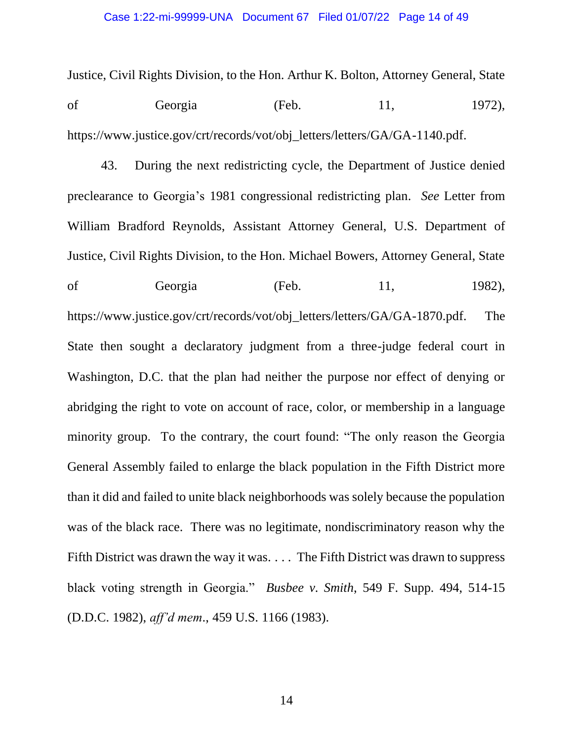Justice, Civil Rights Division, to the Hon. Arthur K. Bolton, Attorney General, State of Georgia (Feb. 11, 1972), https://www.justice.gov/crt/records/vot/obj\_letters/letters/GA/GA-1140.pdf.

43. During the next redistricting cycle, the Department of Justice denied preclearance to Georgia's 1981 congressional redistricting plan. *See* Letter from William Bradford Reynolds, Assistant Attorney General, U.S. Department of Justice, Civil Rights Division, to the Hon. Michael Bowers, Attorney General, State of Georgia (Feb. 11, 1982), [https://www.justice.gov/crt/records/vot/obj\\_letters/letters/GA/GA-1870.pdf.](https://www.justice.gov/crt/records/vot/obj_letters/letters/GA/GA-1870.pdf) The State then sought a declaratory judgment from a three-judge federal court in Washington, D.C. that the plan had neither the purpose nor effect of denying or abridging the right to vote on account of race, color, or membership in a language minority group. To the contrary, the court found: "The only reason the Georgia General Assembly failed to enlarge the black population in the Fifth District more than it did and failed to unite black neighborhoods was solely because the population was of the black race. There was no legitimate, nondiscriminatory reason why the Fifth District was drawn the way it was. . . . The Fifth District was drawn to suppress black voting strength in Georgia." *Busbee v. Smith*, 549 F. Supp. 494, 514-15 (D.D.C. 1982), *aff'd mem*., 459 U.S. 1166 (1983).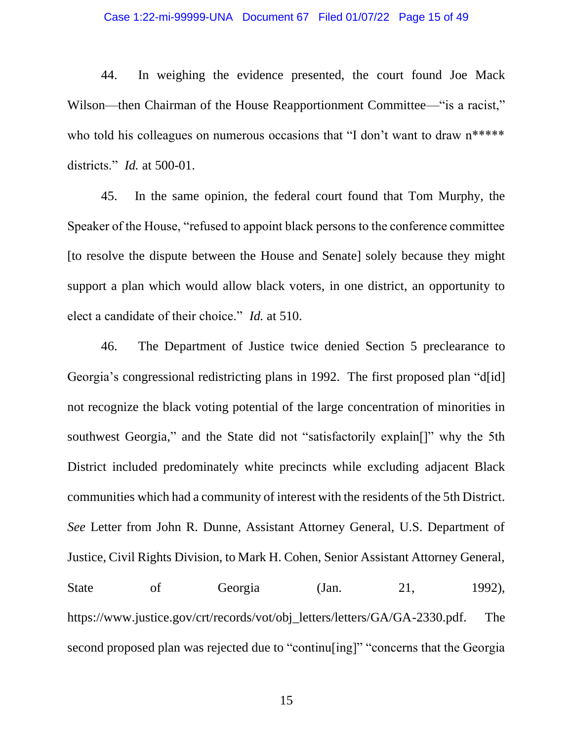## Case 1:22-mi-99999-UNA Document 67 Filed 01/07/22 Page 15 of 49

44. In weighing the evidence presented, the court found Joe Mack Wilson—then Chairman of the House Reapportionment Committee—"is a racist," who told his colleagues on numerous occasions that "I don't want to draw  $n^{****}$ districts." *Id.* at 500-01.

45. In the same opinion, the federal court found that Tom Murphy, the Speaker of the House, "refused to appoint black persons to the conference committee [to resolve the dispute between the House and Senate] solely because they might support a plan which would allow black voters, in one district, an opportunity to elect a candidate of their choice." *Id.* at 510.

46. The Department of Justice twice denied Section 5 preclearance to Georgia's congressional redistricting plans in 1992. The first proposed plan "d[id] not recognize the black voting potential of the large concentration of minorities in southwest Georgia," and the State did not "satisfactorily explain<sup>[]"</sup> why the 5th District included predominately white precincts while excluding adjacent Black communities which had a community of interest with the residents of the 5th District. *See* Letter from John R. Dunne, Assistant Attorney General, U.S. Department of Justice, Civil Rights Division, to Mark H. Cohen, Senior Assistant Attorney General, State of Georgia (Jan. 21, 1992), [https://www.justice.gov/crt/records/vot/obj\\_letters/letters/GA/GA-2330.pdf.](https://www.justice.gov/crt/records/vot/obj_letters/letters/GA/GA-2330.pdf) The second proposed plan was rejected due to "continulating]" "concerns that the Georgia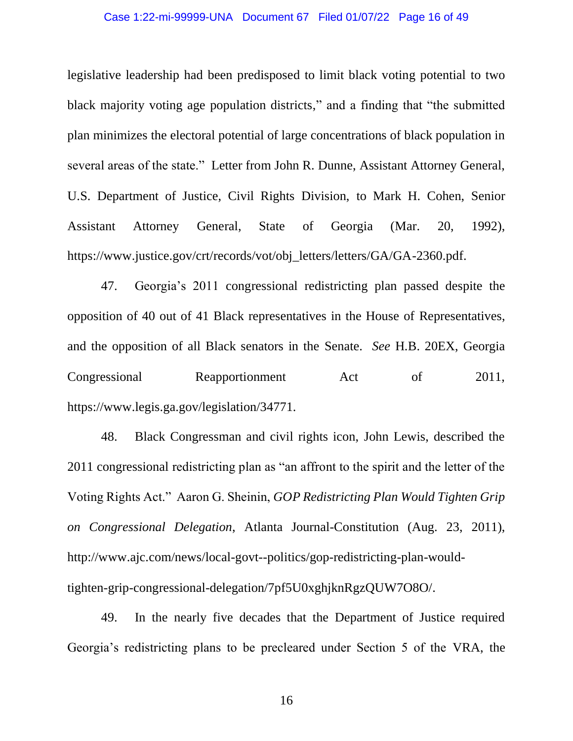## Case 1:22-mi-99999-UNA Document 67 Filed 01/07/22 Page 16 of 49

legislative leadership had been predisposed to limit black voting potential to two black majority voting age population districts," and a finding that "the submitted plan minimizes the electoral potential of large concentrations of black population in several areas of the state." Letter from John R. Dunne, Assistant Attorney General, U.S. Department of Justice, Civil Rights Division, to Mark H. Cohen, Senior Assistant Attorney General, State of Georgia (Mar. 20, 1992), https://www.justice.gov/crt/records/vot/obj\_letters/letters/GA/GA-2360.pdf.

47. Georgia's 2011 congressional redistricting plan passed despite the opposition of 40 out of 41 Black representatives in the House of Representatives, and the opposition of all Black senators in the Senate. *See* H.B. 20EX, Georgia Congressional Reapportionment Act of 2011, https://www.legis.ga.gov/legislation/34771.

48. Black Congressman and civil rights icon, John Lewis, described the 2011 congressional redistricting plan as "an affront to the spirit and the letter of the Voting Rights Act." Aaron G. Sheinin, *GOP Redistricting Plan Would Tighten Grip on Congressional Delegation*, Atlanta Journal-Constitution (Aug. 23, 2011), [http://www.ajc.com/news/local-govt--politics/gop-redistricting-plan-would](http://www.ajc.com/news/local-govt--politics/gop-redistricting-plan-would-tighten-grip-congressional-delegation/7pf5U0xghjknRgzQUW7O8O/)[tighten-grip-congressional-delegation/7pf5U0xghjknRgzQUW7O8O/.](http://www.ajc.com/news/local-govt--politics/gop-redistricting-plan-would-tighten-grip-congressional-delegation/7pf5U0xghjknRgzQUW7O8O/)

49. In the nearly five decades that the Department of Justice required Georgia's redistricting plans to be precleared under Section 5 of the VRA, the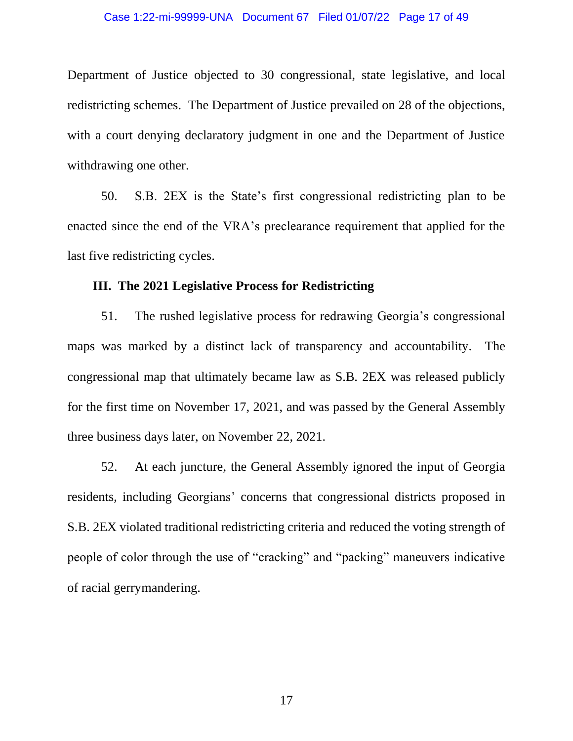Department of Justice objected to 30 congressional, state legislative, and local redistricting schemes. The Department of Justice prevailed on 28 of the objections, with a court denying declaratory judgment in one and the Department of Justice withdrawing one other.

50. S.B. 2EX is the State's first congressional redistricting plan to be enacted since the end of the VRA's preclearance requirement that applied for the last five redistricting cycles.

# **III. The 2021 Legislative Process for Redistricting**

51. The rushed legislative process for redrawing Georgia's congressional maps was marked by a distinct lack of transparency and accountability. The congressional map that ultimately became law as S.B. 2EX was released publicly for the first time on November 17, 2021, and was passed by the General Assembly three business days later, on November 22, 2021.

52. At each juncture, the General Assembly ignored the input of Georgia residents, including Georgians' concerns that congressional districts proposed in S.B. 2EX violated traditional redistricting criteria and reduced the voting strength of people of color through the use of "cracking" and "packing" maneuvers indicative of racial gerrymandering.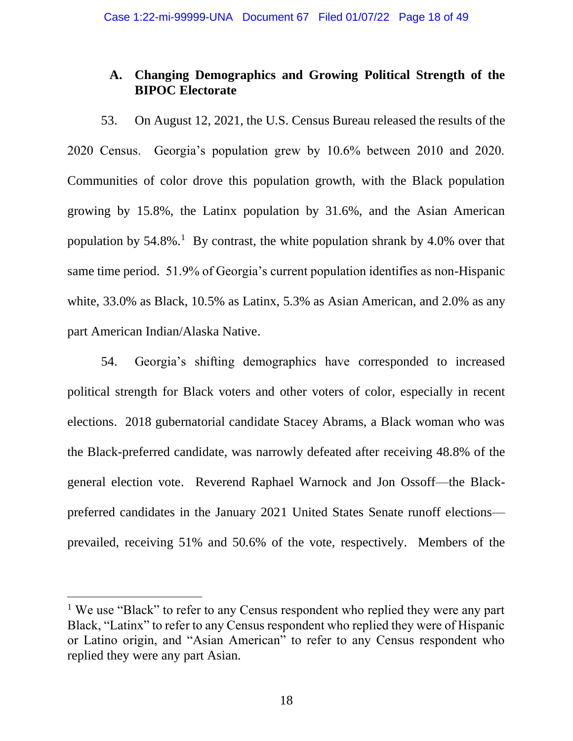# **A. Changing Demographics and Growing Political Strength of the BIPOC Electorate**

53. On August 12, 2021, the U.S. Census Bureau released the results of the 2020 Census. Georgia's population grew by 10.6% between 2010 and 2020. Communities of color drove this population growth, with the Black population growing by 15.8%, the Latinx population by 31.6%, and the Asian American population by  $54.8\%$ .<sup>1</sup> By contrast, the white population shrank by  $4.0\%$  over that same time period. 51.9% of Georgia's current population identifies as non-Hispanic white, 33.0% as Black, 10.5% as Latinx, 5.3% as Asian American, and 2.0% as any part American Indian/Alaska Native.

54. Georgia's shifting demographics have corresponded to increased political strength for Black voters and other voters of color, especially in recent elections. 2018 gubernatorial candidate Stacey Abrams, a Black woman who was the Black-preferred candidate, was narrowly defeated after receiving 48.8% of the general election vote. Reverend Raphael Warnock and Jon Ossoff—the Blackpreferred candidates in the January 2021 United States Senate runoff elections prevailed, receiving 51% and 50.6% of the vote, respectively. Members of the

<sup>&</sup>lt;sup>1</sup> We use "Black" to refer to any Census respondent who replied they were any part Black, "Latinx" to refer to any Census respondent who replied they were of Hispanic or Latino origin, and "Asian American" to refer to any Census respondent who replied they were any part Asian.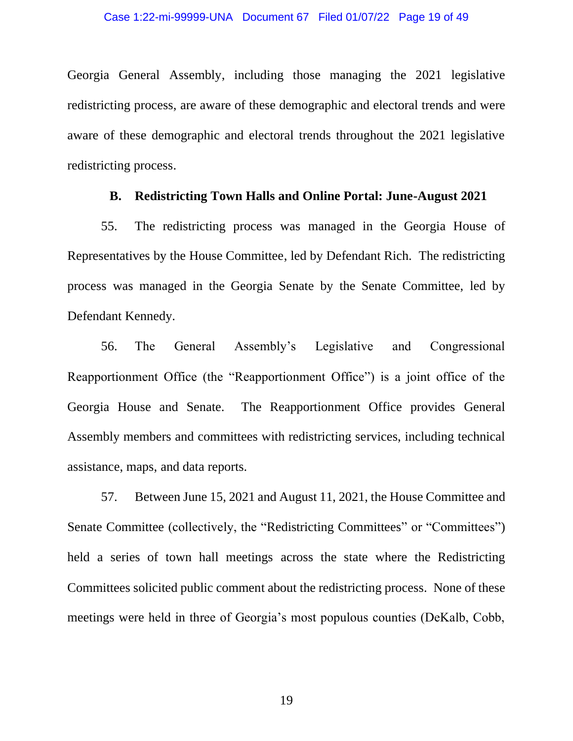Georgia General Assembly, including those managing the 2021 legislative redistricting process, are aware of these demographic and electoral trends and were aware of these demographic and electoral trends throughout the 2021 legislative redistricting process.

# **B. Redistricting Town Halls and Online Portal: June-August 2021**

55. The redistricting process was managed in the Georgia House of Representatives by the House Committee, led by Defendant Rich. The redistricting process was managed in the Georgia Senate by the Senate Committee, led by Defendant Kennedy.

56. The General Assembly's Legislative and Congressional Reapportionment Office (the "Reapportionment Office") is a joint office of the Georgia House and Senate. The Reapportionment Office provides General Assembly members and committees with redistricting services, including technical assistance, maps, and data reports.

57. Between June 15, 2021 and August 11, 2021, the House Committee and Senate Committee (collectively, the "Redistricting Committees" or "Committees") held a series of town hall meetings across the state where the Redistricting Committees solicited public comment about the redistricting process. None of these meetings were held in three of Georgia's most populous counties (DeKalb, Cobb,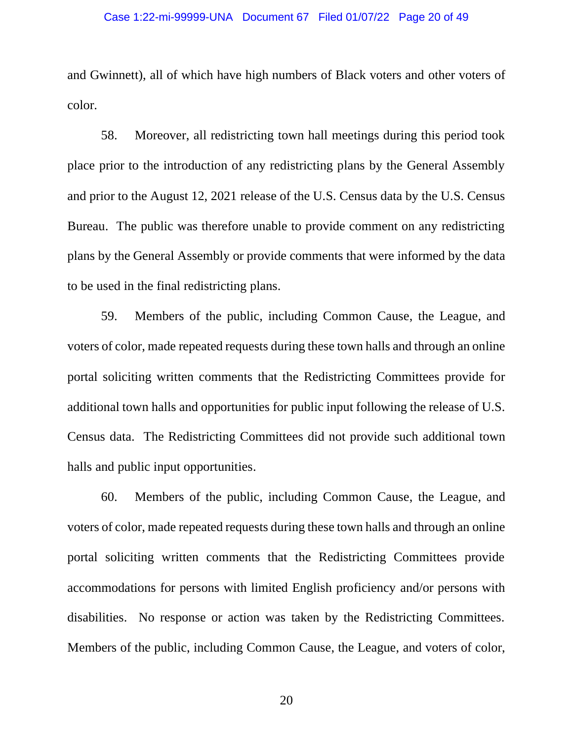## Case 1:22-mi-99999-UNA Document 67 Filed 01/07/22 Page 20 of 49

and Gwinnett), all of which have high numbers of Black voters and other voters of color.

58. Moreover, all redistricting town hall meetings during this period took place prior to the introduction of any redistricting plans by the General Assembly and prior to the August 12, 2021 release of the U.S. Census data by the U.S. Census Bureau. The public was therefore unable to provide comment on any redistricting plans by the General Assembly or provide comments that were informed by the data to be used in the final redistricting plans.

59. Members of the public, including Common Cause, the League, and voters of color, made repeated requests during these town halls and through an online portal soliciting written comments that the Redistricting Committees provide for additional town halls and opportunities for public input following the release of U.S. Census data. The Redistricting Committees did not provide such additional town halls and public input opportunities.

60. Members of the public, including Common Cause, the League, and voters of color, made repeated requests during these town halls and through an online portal soliciting written comments that the Redistricting Committees provide accommodations for persons with limited English proficiency and/or persons with disabilities. No response or action was taken by the Redistricting Committees. Members of the public, including Common Cause, the League, and voters of color,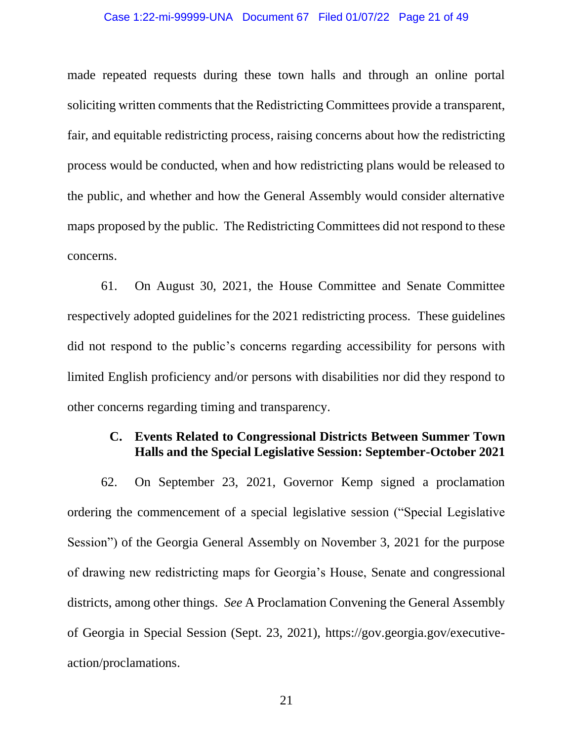#### Case 1:22-mi-99999-UNA Document 67 Filed 01/07/22 Page 21 of 49

made repeated requests during these town halls and through an online portal soliciting written comments that the Redistricting Committees provide a transparent, fair, and equitable redistricting process, raising concerns about how the redistricting process would be conducted, when and how redistricting plans would be released to the public, and whether and how the General Assembly would consider alternative maps proposed by the public. The Redistricting Committees did not respond to these concerns.

61. On August 30, 2021, the House Committee and Senate Committee respectively adopted guidelines for the 2021 redistricting process. These guidelines did not respond to the public's concerns regarding accessibility for persons with limited English proficiency and/or persons with disabilities nor did they respond to other concerns regarding timing and transparency.

# **C. Events Related to Congressional Districts Between Summer Town Halls and the Special Legislative Session: September-October 2021**

62. On September 23, 2021, Governor Kemp signed a proclamation ordering the commencement of a special legislative session ("Special Legislative Session") of the Georgia General Assembly on November 3, 2021 for the purpose of drawing new redistricting maps for Georgia's House, Senate and congressional districts, among other things. *See* A Proclamation Convening the General Assembly of Georgia in Special Session (Sept. 23, 2021), [https://gov.georgia.gov/executive](https://gov.georgia.gov/executive-action/proclamations)[action/proclamations.](https://gov.georgia.gov/executive-action/proclamations)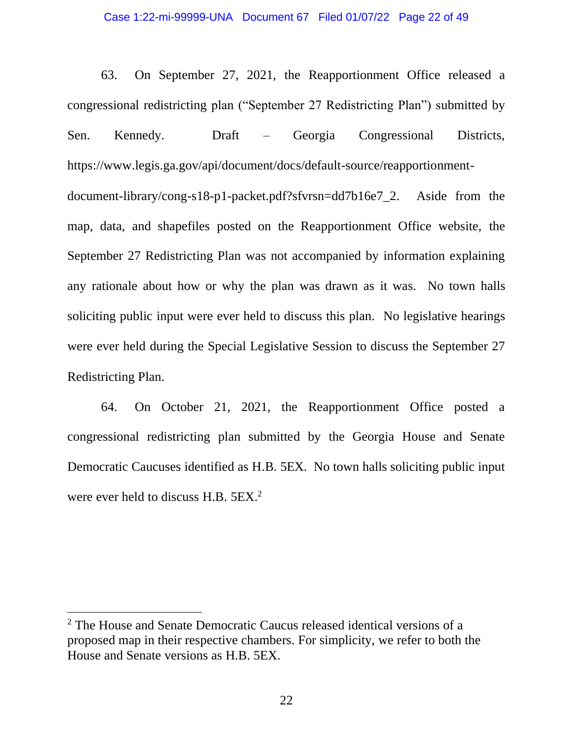63. On September 27, 2021, the Reapportionment Office released a congressional redistricting plan ("September 27 Redistricting Plan") submitted by Sen. Kennedy. Draft – Georgia Congressional Districts, [https://www.legis.ga.gov/api/document/docs/default-source/reapportionment](https://www.legis.ga.gov/api/document/docs/default-source/reapportionment-document-library/cong-s18-p1-packet.pdf?sfvrsn=dd7b16e7_2)document-library/cong-s18-p1-packet.pdf?sfvrsn=dd7b16e7 2. Aside from the map, data, and shapefiles posted on the Reapportionment Office website, the September 27 Redistricting Plan was not accompanied by information explaining any rationale about how or why the plan was drawn as it was. No town halls soliciting public input were ever held to discuss this plan. No legislative hearings were ever held during the Special Legislative Session to discuss the September 27 Redistricting Plan.

64. On October 21, 2021, the Reapportionment Office posted a congressional redistricting plan submitted by the Georgia House and Senate Democratic Caucuses identified as H.B. 5EX. No town halls soliciting public input were ever held to discuss H.B. 5EX.<sup>2</sup>

<sup>2</sup> The House and Senate Democratic Caucus released identical versions of a proposed map in their respective chambers. For simplicity, we refer to both the House and Senate versions as H.B. 5EX.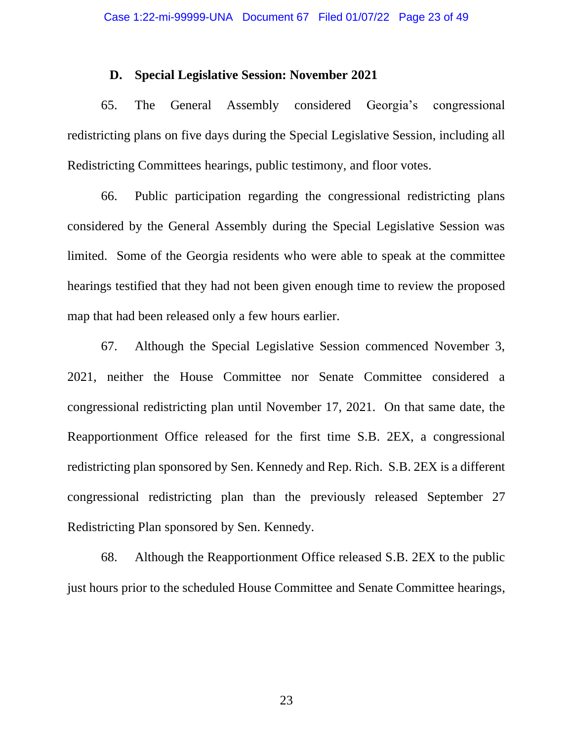# **D. Special Legislative Session: November 2021**

65. The General Assembly considered Georgia's congressional redistricting plans on five days during the Special Legislative Session, including all Redistricting Committees hearings, public testimony, and floor votes.

66. Public participation regarding the congressional redistricting plans considered by the General Assembly during the Special Legislative Session was limited. Some of the Georgia residents who were able to speak at the committee hearings testified that they had not been given enough time to review the proposed map that had been released only a few hours earlier.

67. Although the Special Legislative Session commenced November 3, 2021, neither the House Committee nor Senate Committee considered a congressional redistricting plan until November 17, 2021. On that same date, the Reapportionment Office released for the first time S.B. 2EX, a congressional redistricting plan sponsored by Sen. Kennedy and Rep. Rich. S.B. 2EX is a different congressional redistricting plan than the previously released September 27 Redistricting Plan sponsored by Sen. Kennedy.

68. Although the Reapportionment Office released S.B. 2EX to the public just hours prior to the scheduled House Committee and Senate Committee hearings,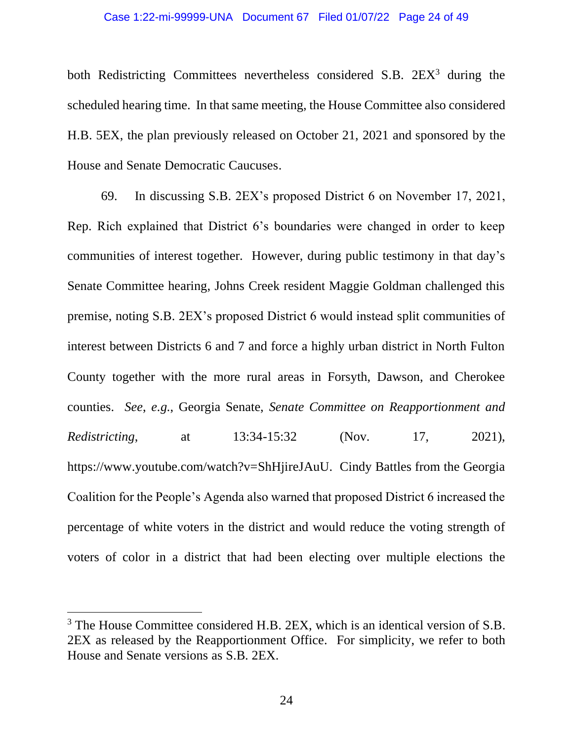#### Case 1:22-mi-99999-UNA Document 67 Filed 01/07/22 Page 24 of 49

both Redistricting Committees nevertheless considered S.B. 2EX<sup>3</sup> during the scheduled hearing time. In that same meeting, the House Committee also considered H.B. 5EX, the plan previously released on October 21, 2021 and sponsored by the House and Senate Democratic Caucuses.

69. In discussing S.B. 2EX's proposed District 6 on November 17, 2021, Rep. Rich explained that District 6's boundaries were changed in order to keep communities of interest together. However, during public testimony in that day's Senate Committee hearing, Johns Creek resident Maggie Goldman challenged this premise, noting S.B. 2EX's proposed District 6 would instead split communities of interest between Districts 6 and 7 and force a highly urban district in North Fulton County together with the more rural areas in Forsyth, Dawson, and Cherokee counties. *See*, *e.g.*, Georgia Senate, *Senate Committee on Reapportionment and Redistricting*, at 13:34-15:32 (Nov. 17, 2021), https://www.youtube.com/watch?v=ShHjireJAuU. Cindy Battles from the Georgia Coalition for the People's Agenda also warned that proposed District 6 increased the percentage of white voters in the district and would reduce the voting strength of voters of color in a district that had been electing over multiple elections the

<sup>&</sup>lt;sup>3</sup> The House Committee considered H.B. 2EX, which is an identical version of S.B. 2EX as released by the Reapportionment Office. For simplicity, we refer to both House and Senate versions as S.B. 2EX.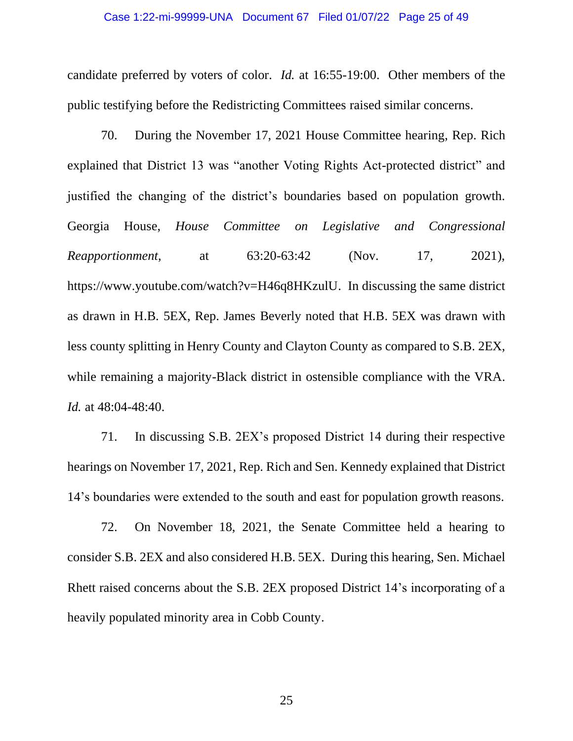### Case 1:22-mi-99999-UNA Document 67 Filed 01/07/22 Page 25 of 49

candidate preferred by voters of color. *Id.* at 16:55-19:00. Other members of the public testifying before the Redistricting Committees raised similar concerns.

70. During the November 17, 2021 House Committee hearing, Rep. Rich explained that District 13 was "another Voting Rights Act-protected district" and justified the changing of the district's boundaries based on population growth. Georgia House, *House Committee on Legislative and Congressional Reapportionment*, at 63:20-63:42 (Nov. 17, 2021), <https://www.youtube.com/watch?v=H46q8HKzulU.>In discussing the same district as drawn in H.B. 5EX, Rep. James Beverly noted that H.B. 5EX was drawn with less county splitting in Henry County and Clayton County as compared to S.B. 2EX, while remaining a majority-Black district in ostensible compliance with the VRA. *Id.* at 48:04-48:40.

71. In discussing S.B. 2EX's proposed District 14 during their respective hearings on November 17, 2021, Rep. Rich and Sen. Kennedy explained that District 14's boundaries were extended to the south and east for population growth reasons.

72. On November 18, 2021, the Senate Committee held a hearing to consider S.B. 2EX and also considered H.B. 5EX. During this hearing, Sen. Michael Rhett raised concerns about the S.B. 2EX proposed District 14's incorporating of a heavily populated minority area in Cobb County.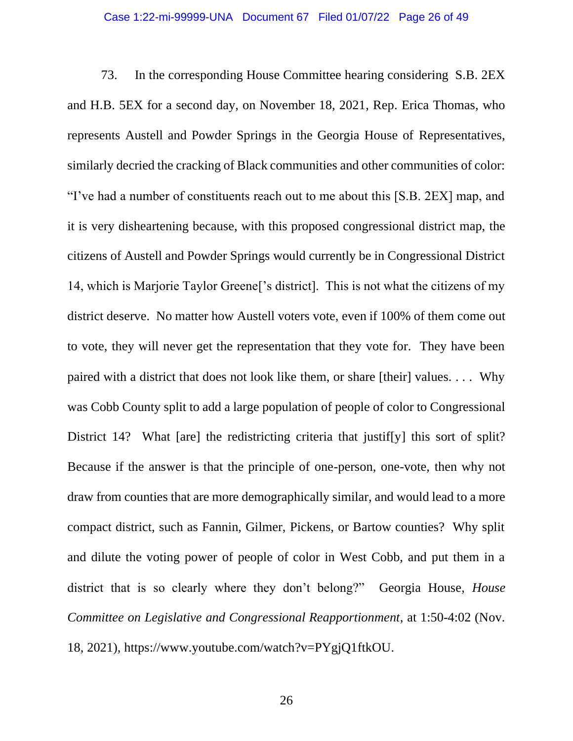73. In the corresponding House Committee hearing considering S.B. 2EX and H.B. 5EX for a second day, on November 18, 2021, Rep. Erica Thomas, who represents Austell and Powder Springs in the Georgia House of Representatives, similarly decried the cracking of Black communities and other communities of color: "I've had a number of constituents reach out to me about this [S.B. 2EX] map, and it is very disheartening because, with this proposed congressional district map, the citizens of Austell and Powder Springs would currently be in Congressional District 14, which is Marjorie Taylor Greene['s district]. This is not what the citizens of my district deserve. No matter how Austell voters vote, even if 100% of them come out to vote, they will never get the representation that they vote for. They have been paired with a district that does not look like them, or share [their] values. . . . Why was Cobb County split to add a large population of people of color to Congressional District 14? What [are] the redistricting criteria that justif[y] this sort of split? Because if the answer is that the principle of one-person, one-vote, then why not draw from counties that are more demographically similar, and would lead to a more compact district, such as Fannin, Gilmer, Pickens, or Bartow counties? Why split and dilute the voting power of people of color in West Cobb, and put them in a district that is so clearly where they don't belong?" Georgia House, *House Committee on Legislative and Congressional Reapportionment*, at 1:50-4:02 (Nov. 18, 2021), [https://www.youtube.com/watch?v=PYgjQ1ftkOU.](https://www.youtube.com/watch?v=PYgjQ1ftkOU)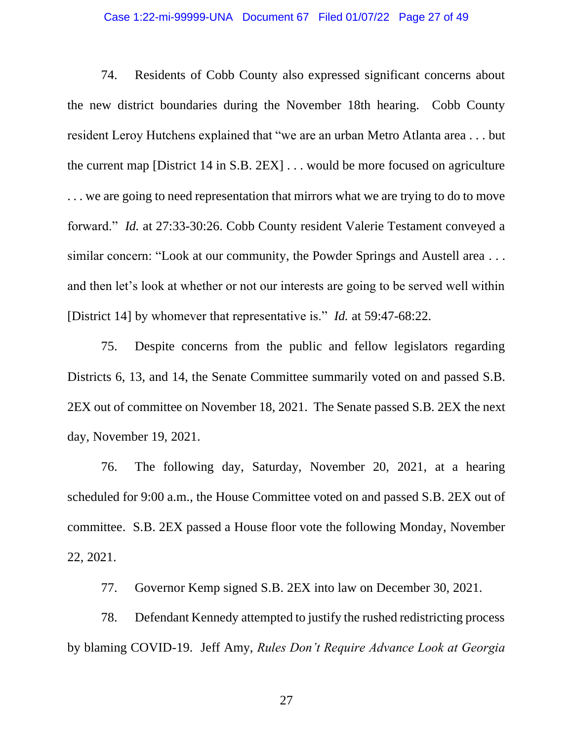## Case 1:22-mi-99999-UNA Document 67 Filed 01/07/22 Page 27 of 49

74. Residents of Cobb County also expressed significant concerns about the new district boundaries during the November 18th hearing. Cobb County resident Leroy Hutchens explained that "we are an urban Metro Atlanta area . . . but the current map [District 14 in S.B. 2EX] . . . would be more focused on agriculture . . . we are going to need representation that mirrors what we are trying to do to move forward." *Id.* at 27:33-30:26. Cobb County resident Valerie Testament conveyed a similar concern: "Look at our community, the Powder Springs and Austell area ... and then let's look at whether or not our interests are going to be served well within [District 14] by whomever that representative is." *Id.* at 59:47-68:22.

75. Despite concerns from the public and fellow legislators regarding Districts 6, 13, and 14, the Senate Committee summarily voted on and passed S.B. 2EX out of committee on November 18, 2021. The Senate passed S.B. 2EX the next day, November 19, 2021.

76. The following day, Saturday, November 20, 2021, at a hearing scheduled for 9:00 a.m., the House Committee voted on and passed S.B. 2EX out of committee. S.B. 2EX passed a House floor vote the following Monday, November 22, 2021.

77. Governor Kemp signed S.B. 2EX into law on December 30, 2021.

78. Defendant Kennedy attempted to justify the rushed redistricting process by blaming COVID-19. Jeff Amy, *Rules Don't Require Advance Look at Georgia*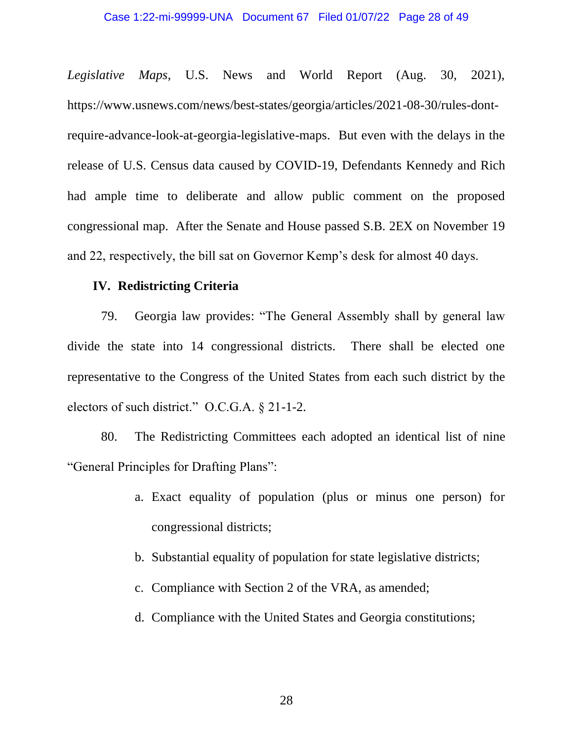*Legislative Maps*, U.S. News and World Report (Aug. 30, 2021), https://www.usnews.com/news/best-states/georgia/articles/2021-08-30/rules-dontrequire-advance-look-at-georgia-legislative-maps. But even with the delays in the release of U.S. Census data caused by COVID-19, Defendants Kennedy and Rich had ample time to deliberate and allow public comment on the proposed congressional map. After the Senate and House passed S.B. 2EX on November 19 and 22, respectively, the bill sat on Governor Kemp's desk for almost 40 days.

# **IV. Redistricting Criteria**

79. Georgia law provides: "The General Assembly shall by general law divide the state into 14 congressional districts. There shall be elected one representative to the Congress of the United States from each such district by the electors of such district." O.C.G.A. § 21-1-2.

80. The Redistricting Committees each adopted an identical list of nine "General Principles for Drafting Plans":

- a. Exact equality of population (plus or minus one person) for congressional districts;
- b. Substantial equality of population for state legislative districts;
- c. Compliance with Section 2 of the VRA, as amended;
- d. Compliance with the United States and Georgia constitutions;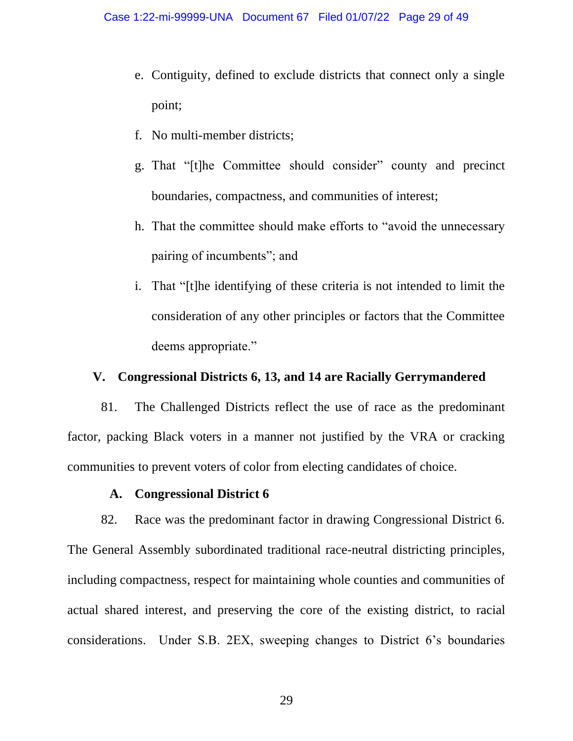- e. Contiguity, defined to exclude districts that connect only a single point;
- f. No multi-member districts;
- g. That "[t]he Committee should consider" county and precinct boundaries, compactness, and communities of interest;
- h. That the committee should make efforts to "avoid the unnecessary pairing of incumbents"; and
- i. That "[t]he identifying of these criteria is not intended to limit the consideration of any other principles or factors that the Committee deems appropriate."

# **V. Congressional Districts 6, 13, and 14 are Racially Gerrymandered**

81. The Challenged Districts reflect the use of race as the predominant factor, packing Black voters in a manner not justified by the VRA or cracking communities to prevent voters of color from electing candidates of choice.

# **A. Congressional District 6**

82. Race was the predominant factor in drawing Congressional District 6. The General Assembly subordinated traditional race-neutral districting principles, including compactness, respect for maintaining whole counties and communities of actual shared interest, and preserving the core of the existing district, to racial considerations. Under S.B. 2EX, sweeping changes to District 6's boundaries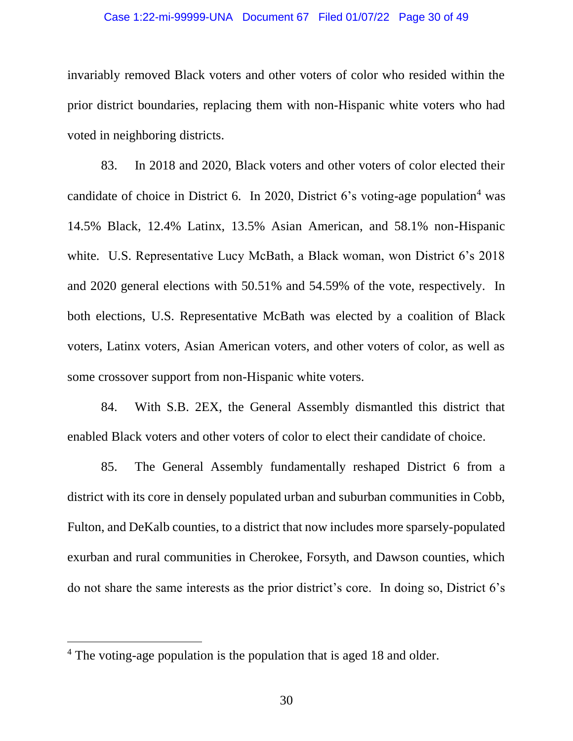#### Case 1:22-mi-99999-UNA Document 67 Filed 01/07/22 Page 30 of 49

invariably removed Black voters and other voters of color who resided within the prior district boundaries, replacing them with non-Hispanic white voters who had voted in neighboring districts.

83. In 2018 and 2020, Black voters and other voters of color elected their candidate of choice in District 6. In 2020, District 6's voting-age population<sup>4</sup> was 14.5% Black, 12.4% Latinx, 13.5% Asian American, and 58.1% non-Hispanic white. U.S. Representative Lucy McBath, a Black woman, won District 6's 2018 and 2020 general elections with 50.51% and 54.59% of the vote, respectively. In both elections, U.S. Representative McBath was elected by a coalition of Black voters, Latinx voters, Asian American voters, and other voters of color, as well as some crossover support from non-Hispanic white voters.

84. With S.B. 2EX, the General Assembly dismantled this district that enabled Black voters and other voters of color to elect their candidate of choice.

85. The General Assembly fundamentally reshaped District 6 from a district with its core in densely populated urban and suburban communities in Cobb, Fulton, and DeKalb counties, to a district that now includes more sparsely-populated exurban and rural communities in Cherokee, Forsyth, and Dawson counties, which do not share the same interests as the prior district's core. In doing so, District 6's

<sup>&</sup>lt;sup>4</sup> The voting-age population is the population that is aged 18 and older.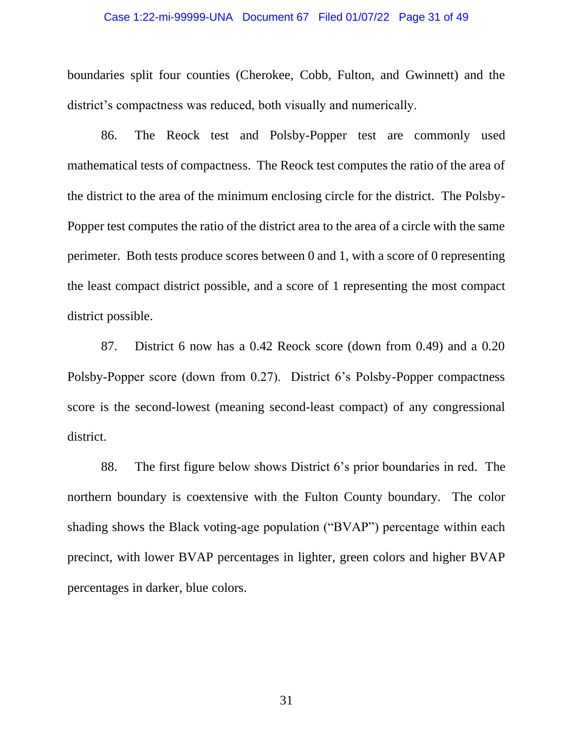### Case 1:22-mi-99999-UNA Document 67 Filed 01/07/22 Page 31 of 49

boundaries split four counties (Cherokee, Cobb, Fulton, and Gwinnett) and the district's compactness was reduced, both visually and numerically.

86. The Reock test and Polsby-Popper test are commonly used mathematical tests of compactness. The Reock test computes the ratio of the area of the district to the area of the minimum enclosing circle for the district. The Polsby-Popper test computes the ratio of the district area to the area of a circle with the same perimeter. Both tests produce scores between 0 and 1, with a score of 0 representing the least compact district possible, and a score of 1 representing the most compact district possible.

87. District 6 now has a 0.42 Reock score (down from 0.49) and a 0.20 Polsby-Popper score (down from 0.27). District 6's Polsby-Popper compactness score is the second-lowest (meaning second-least compact) of any congressional district.

88. The first figure below shows District 6's prior boundaries in red. The northern boundary is coextensive with the Fulton County boundary. The color shading shows the Black voting-age population ("BVAP") percentage within each precinct, with lower BVAP percentages in lighter, green colors and higher BVAP percentages in darker, blue colors.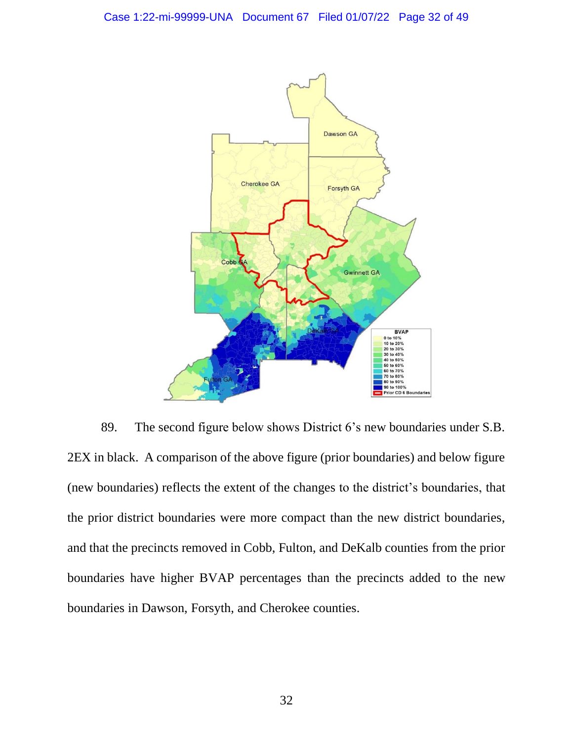

89. The second figure below shows District 6's new boundaries under S.B. 2EX in black. A comparison of the above figure (prior boundaries) and below figure (new boundaries) reflects the extent of the changes to the district's boundaries, that the prior district boundaries were more compact than the new district boundaries, and that the precincts removed in Cobb, Fulton, and DeKalb counties from the prior boundaries have higher BVAP percentages than the precincts added to the new boundaries in Dawson, Forsyth, and Cherokee counties.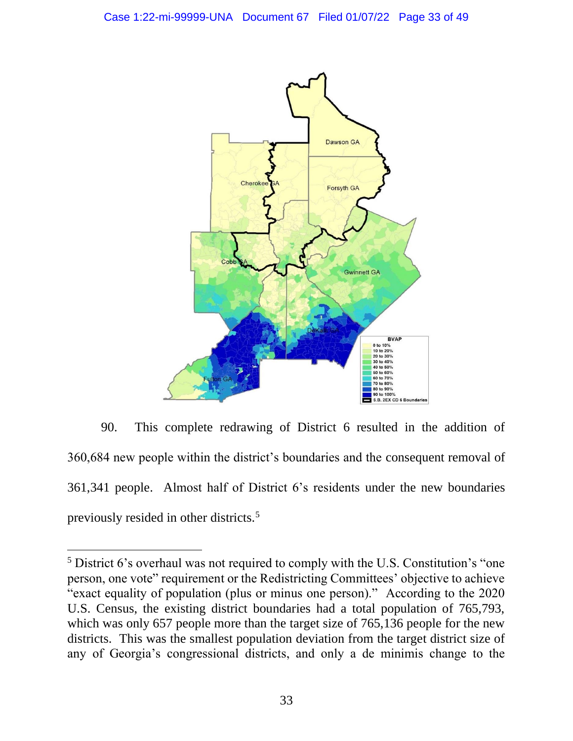

90. This complete redrawing of District 6 resulted in the addition of 360,684 new people within the district's boundaries and the consequent removal of 361,341 people. Almost half of District 6's residents under the new boundaries previously resided in other districts.<sup>5</sup>

<sup>5</sup> District 6's overhaul was not required to comply with the U.S. Constitution's "one person, one vote" requirement or the Redistricting Committees' objective to achieve "exact equality of population (plus or minus one person)." According to the 2020 U.S. Census, the existing district boundaries had a total population of 765,793, which was only 657 people more than the target size of 765,136 people for the new districts. This was the smallest population deviation from the target district size of any of Georgia's congressional districts, and only a de minimis change to the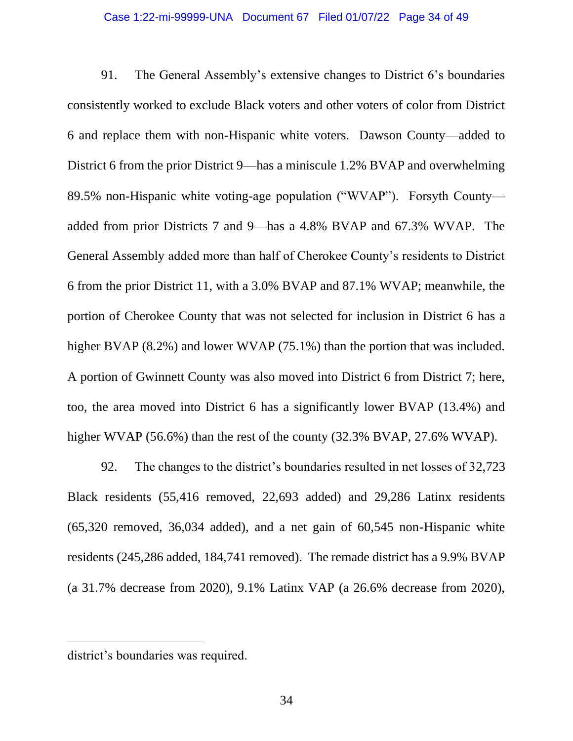91. The General Assembly's extensive changes to District 6's boundaries consistently worked to exclude Black voters and other voters of color from District 6 and replace them with non-Hispanic white voters. Dawson County—added to District 6 from the prior District 9—has a miniscule 1.2% BVAP and overwhelming 89.5% non-Hispanic white voting-age population ("WVAP"). Forsyth County added from prior Districts 7 and 9—has a 4.8% BVAP and 67.3% WVAP. The General Assembly added more than half of Cherokee County's residents to District 6 from the prior District 11, with a 3.0% BVAP and 87.1% WVAP; meanwhile, the portion of Cherokee County that was not selected for inclusion in District 6 has a higher BVAP (8.2%) and lower WVAP (75.1%) than the portion that was included. A portion of Gwinnett County was also moved into District 6 from District 7; here, too, the area moved into District 6 has a significantly lower BVAP (13.4%) and higher WVAP (56.6%) than the rest of the county (32.3% BVAP, 27.6% WVAP).

92. The changes to the district's boundaries resulted in net losses of 32,723 Black residents (55,416 removed, 22,693 added) and 29,286 Latinx residents (65,320 removed, 36,034 added), and a net gain of 60,545 non-Hispanic white residents (245,286 added, 184,741 removed). The remade district has a 9.9% BVAP (a 31.7% decrease from 2020), 9.1% Latinx VAP (a 26.6% decrease from 2020),

district's boundaries was required.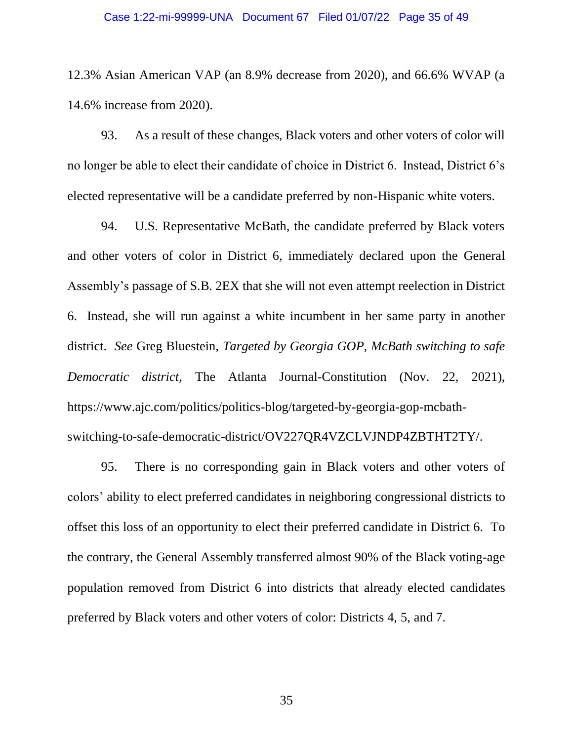### Case 1:22-mi-99999-UNA Document 67 Filed 01/07/22 Page 35 of 49

12.3% Asian American VAP (an 8.9% decrease from 2020), and 66.6% WVAP (a 14.6% increase from 2020).

93. As a result of these changes, Black voters and other voters of color will no longer be able to elect their candidate of choice in District 6. Instead, District 6's elected representative will be a candidate preferred by non-Hispanic white voters.

94. U.S. Representative McBath, the candidate preferred by Black voters and other voters of color in District 6, immediately declared upon the General Assembly's passage of S.B. 2EX that she will not even attempt reelection in District 6. Instead, she will run against a white incumbent in her same party in another district. *See* Greg Bluestein, *Targeted by Georgia GOP, McBath switching to safe Democratic district*, The Atlanta Journal-Constitution (Nov. 22, 2021), https://www.ajc.com/politics/politics-blog/targeted-by-georgia-gop-mcbathswitching-to-safe-democratic-district/OV227QR4VZCLVJNDP4ZBTHT2TY/.

95. There is no corresponding gain in Black voters and other voters of colors' ability to elect preferred candidates in neighboring congressional districts to offset this loss of an opportunity to elect their preferred candidate in District 6. To the contrary, the General Assembly transferred almost 90% of the Black voting-age population removed from District 6 into districts that already elected candidates preferred by Black voters and other voters of color: Districts 4, 5, and 7.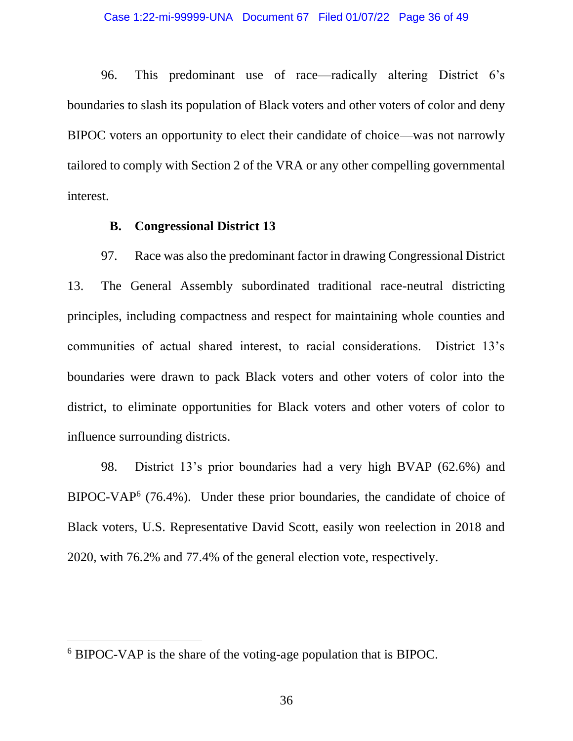96. This predominant use of race—radically altering District 6's boundaries to slash its population of Black voters and other voters of color and deny BIPOC voters an opportunity to elect their candidate of choice—was not narrowly tailored to comply with Section 2 of the VRA or any other compelling governmental interest.

## **B. Congressional District 13**

97. Race was also the predominant factor in drawing Congressional District 13. The General Assembly subordinated traditional race-neutral districting principles, including compactness and respect for maintaining whole counties and communities of actual shared interest, to racial considerations. District 13's boundaries were drawn to pack Black voters and other voters of color into the district, to eliminate opportunities for Black voters and other voters of color to influence surrounding districts.

98. District 13's prior boundaries had a very high BVAP (62.6%) and BIPOC-VAP<sup>6</sup> (76.4%). Under these prior boundaries, the candidate of choice of Black voters, U.S. Representative David Scott, easily won reelection in 2018 and 2020, with 76.2% and 77.4% of the general election vote, respectively.

<sup>6</sup> BIPOC-VAP is the share of the voting-age population that is BIPOC.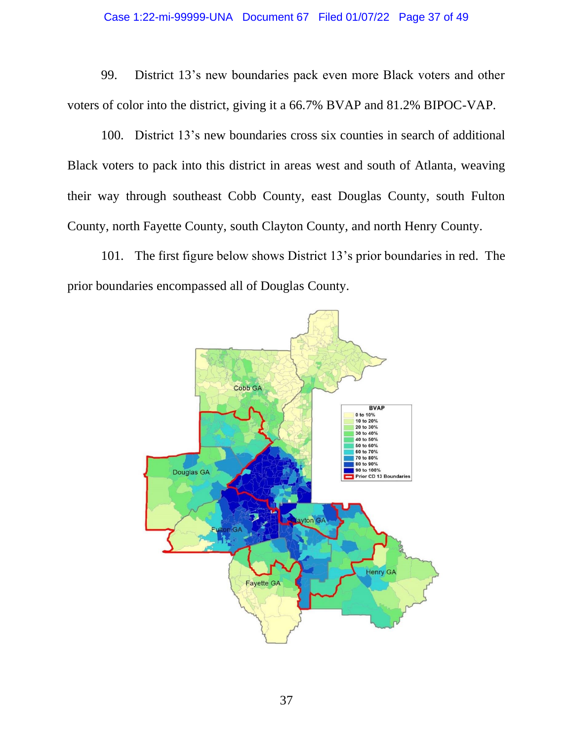# Case 1:22-mi-99999-UNA Document 67 Filed 01/07/22 Page 37 of 49

99. District 13's new boundaries pack even more Black voters and other voters of color into the district, giving it a 66.7% BVAP and 81.2% BIPOC-VAP.

100. District 13's new boundaries cross six counties in search of additional Black voters to pack into this district in areas west and south of Atlanta, weaving their way through southeast Cobb County, east Douglas County, south Fulton County, north Fayette County, south Clayton County, and north Henry County.

101. The first figure below shows District 13's prior boundaries in red. The prior boundaries encompassed all of Douglas County.

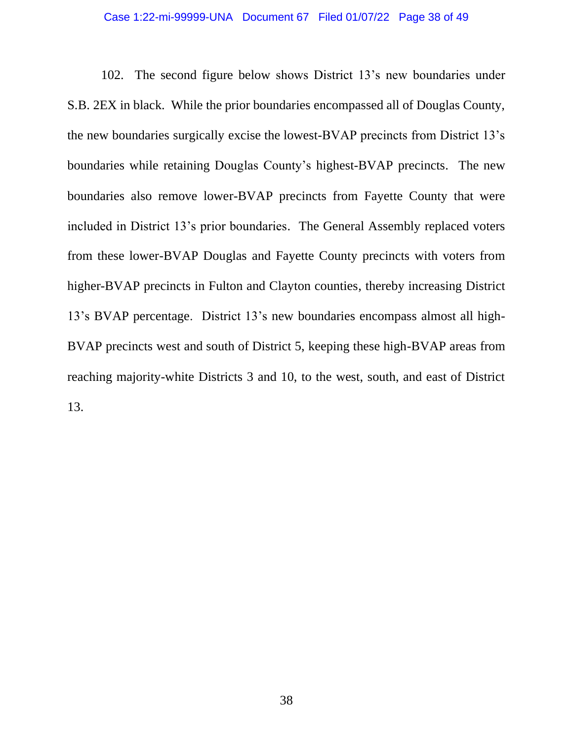## Case 1:22-mi-99999-UNA Document 67 Filed 01/07/22 Page 38 of 49

102. The second figure below shows District 13's new boundaries under S.B. 2EX in black. While the prior boundaries encompassed all of Douglas County, the new boundaries surgically excise the lowest-BVAP precincts from District 13's boundaries while retaining Douglas County's highest-BVAP precincts. The new boundaries also remove lower-BVAP precincts from Fayette County that were included in District 13's prior boundaries. The General Assembly replaced voters from these lower-BVAP Douglas and Fayette County precincts with voters from higher-BVAP precincts in Fulton and Clayton counties, thereby increasing District 13's BVAP percentage. District 13's new boundaries encompass almost all high-BVAP precincts west and south of District 5, keeping these high-BVAP areas from reaching majority-white Districts 3 and 10, to the west, south, and east of District 13.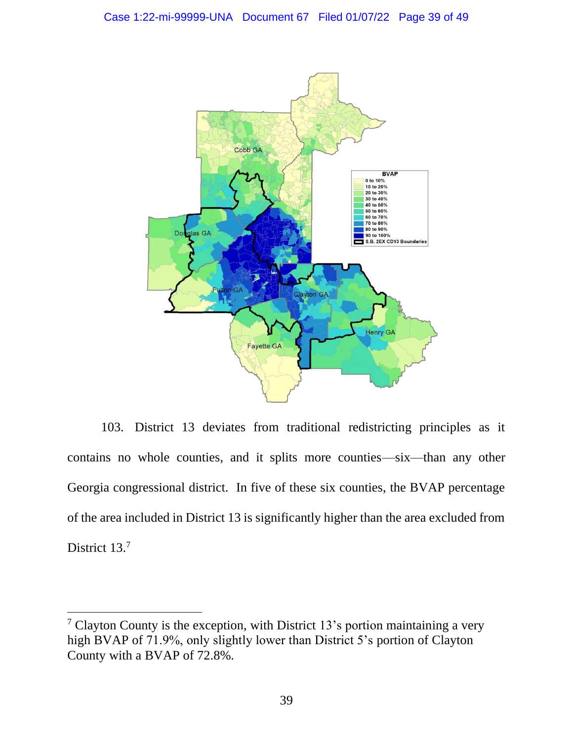

103. District 13 deviates from traditional redistricting principles as it contains no whole counties, and it splits more counties—six—than any other Georgia congressional district. In five of these six counties, the BVAP percentage of the area included in District 13 is significantly higher than the area excluded from District 13.<sup>7</sup>

<sup>&</sup>lt;sup>7</sup> Clayton County is the exception, with District 13's portion maintaining a very high BVAP of 71.9%, only slightly lower than District 5's portion of Clayton County with a BVAP of 72.8%.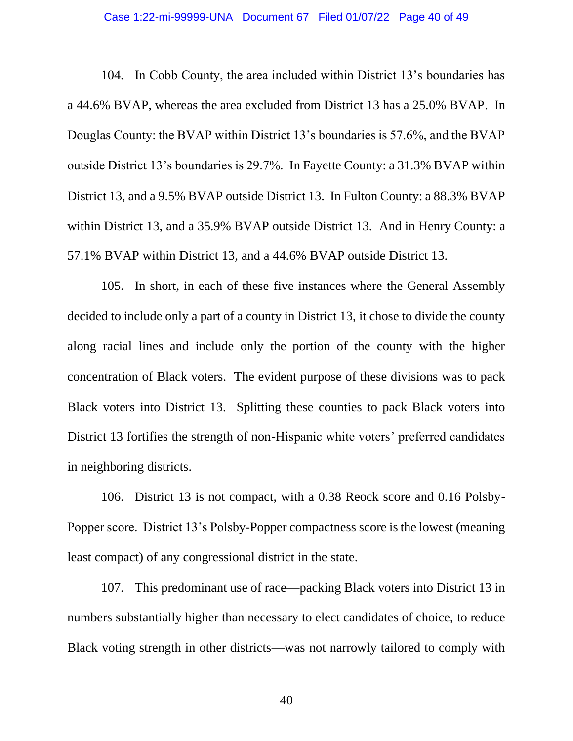## Case 1:22-mi-99999-UNA Document 67 Filed 01/07/22 Page 40 of 49

104. In Cobb County, the area included within District 13's boundaries has a 44.6% BVAP, whereas the area excluded from District 13 has a 25.0% BVAP. In Douglas County: the BVAP within District 13's boundaries is 57.6%, and the BVAP outside District 13's boundaries is 29.7%. In Fayette County: a 31.3% BVAP within District 13, and a 9.5% BVAP outside District 13. In Fulton County: a 88.3% BVAP within District 13, and a 35.9% BVAP outside District 13. And in Henry County: a 57.1% BVAP within District 13, and a 44.6% BVAP outside District 13.

105. In short, in each of these five instances where the General Assembly decided to include only a part of a county in District 13, it chose to divide the county along racial lines and include only the portion of the county with the higher concentration of Black voters. The evident purpose of these divisions was to pack Black voters into District 13. Splitting these counties to pack Black voters into District 13 fortifies the strength of non-Hispanic white voters' preferred candidates in neighboring districts.

106. District 13 is not compact, with a 0.38 Reock score and 0.16 Polsby-Popper score. District 13's Polsby-Popper compactness score is the lowest (meaning least compact) of any congressional district in the state.

107. This predominant use of race—packing Black voters into District 13 in numbers substantially higher than necessary to elect candidates of choice, to reduce Black voting strength in other districts—was not narrowly tailored to comply with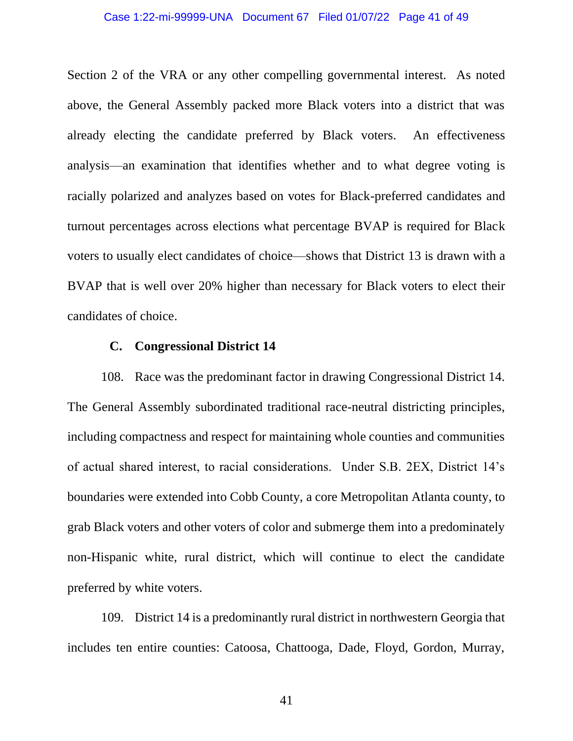## Case 1:22-mi-99999-UNA Document 67 Filed 01/07/22 Page 41 of 49

Section 2 of the VRA or any other compelling governmental interest. As noted above, the General Assembly packed more Black voters into a district that was already electing the candidate preferred by Black voters. An effectiveness analysis—an examination that identifies whether and to what degree voting is racially polarized and analyzes based on votes for Black-preferred candidates and turnout percentages across elections what percentage BVAP is required for Black voters to usually elect candidates of choice—shows that District 13 is drawn with a BVAP that is well over 20% higher than necessary for Black voters to elect their candidates of choice.

# **C. Congressional District 14**

108. Race was the predominant factor in drawing Congressional District 14. The General Assembly subordinated traditional race-neutral districting principles, including compactness and respect for maintaining whole counties and communities of actual shared interest, to racial considerations. Under S.B. 2EX, District 14's boundaries were extended into Cobb County, a core Metropolitan Atlanta county, to grab Black voters and other voters of color and submerge them into a predominately non-Hispanic white, rural district, which will continue to elect the candidate preferred by white voters.

109. District 14 is a predominantly rural district in northwestern Georgia that includes ten entire counties: Catoosa, Chattooga, Dade, Floyd, Gordon, Murray,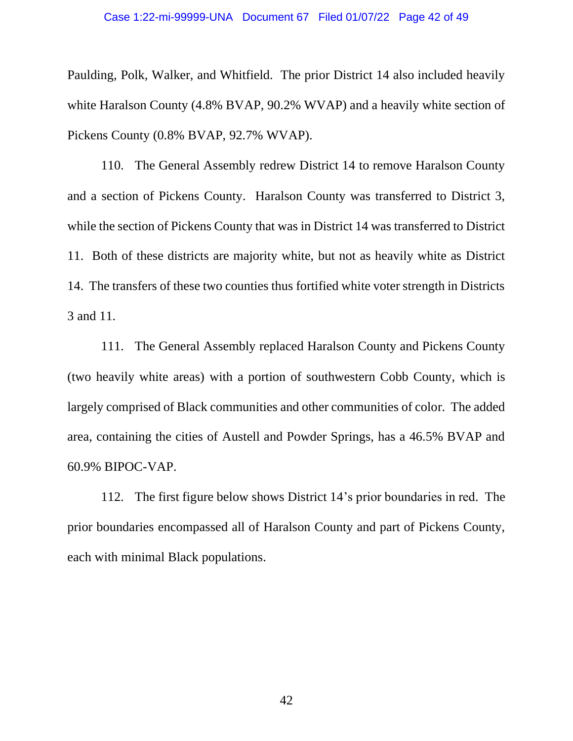### Case 1:22-mi-99999-UNA Document 67 Filed 01/07/22 Page 42 of 49

Paulding, Polk, Walker, and Whitfield. The prior District 14 also included heavily white Haralson County (4.8% BVAP, 90.2% WVAP) and a heavily white section of Pickens County (0.8% BVAP, 92.7% WVAP).

110. The General Assembly redrew District 14 to remove Haralson County and a section of Pickens County. Haralson County was transferred to District 3, while the section of Pickens County that was in District 14 was transferred to District 11. Both of these districts are majority white, but not as heavily white as District 14. The transfers of these two counties thus fortified white voter strength in Districts 3 and 11.

111. The General Assembly replaced Haralson County and Pickens County (two heavily white areas) with a portion of southwestern Cobb County, which is largely comprised of Black communities and other communities of color. The added area, containing the cities of Austell and Powder Springs, has a 46.5% BVAP and 60.9% BIPOC-VAP.

112. The first figure below shows District 14's prior boundaries in red. The prior boundaries encompassed all of Haralson County and part of Pickens County, each with minimal Black populations.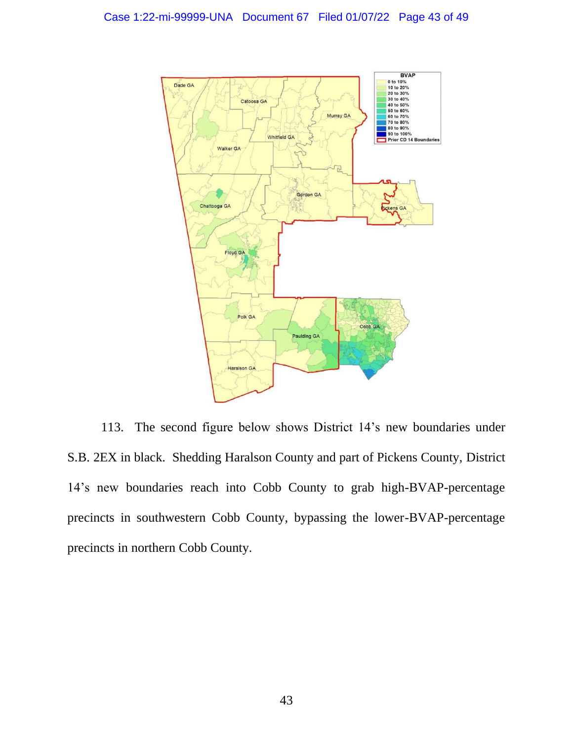

113. The second figure below shows District 14's new boundaries under S.B. 2EX in black. Shedding Haralson County and part of Pickens County, District 14's new boundaries reach into Cobb County to grab high-BVAP-percentage precincts in southwestern Cobb County, bypassing the lower-BVAP-percentage precincts in northern Cobb County.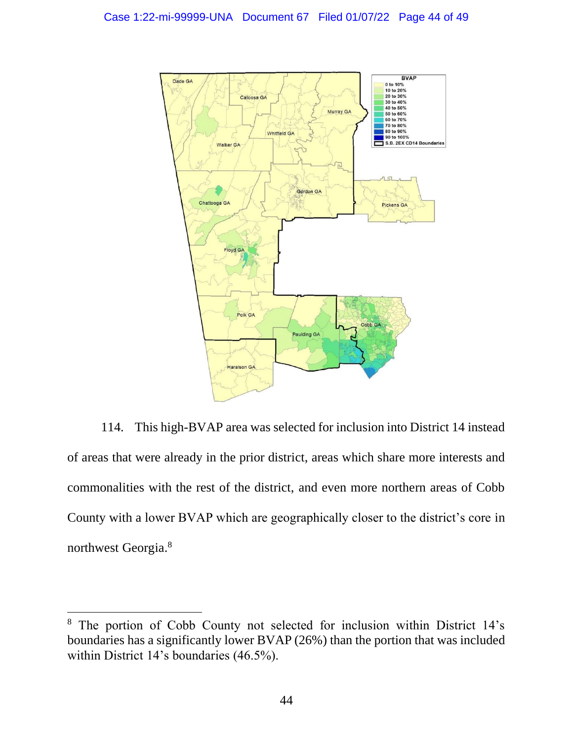

114. This high-BVAP area was selected for inclusion into District 14 instead of areas that were already in the prior district, areas which share more interests and commonalities with the rest of the district, and even more northern areas of Cobb County with a lower BVAP which are geographically closer to the district's core in northwest Georgia.<sup>8</sup>

<sup>8</sup> The portion of Cobb County not selected for inclusion within District 14's boundaries has a significantly lower BVAP (26%) than the portion that was included within District 14's boundaries (46.5%).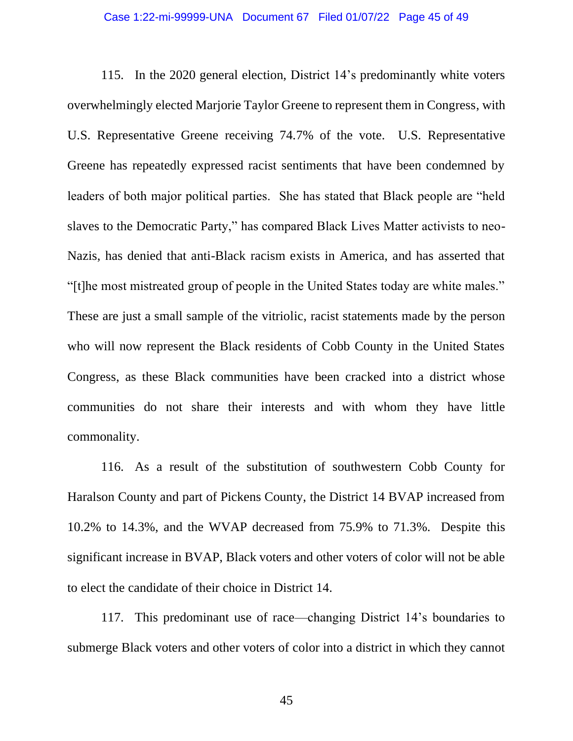## Case 1:22-mi-99999-UNA Document 67 Filed 01/07/22 Page 45 of 49

115. In the 2020 general election, District 14's predominantly white voters overwhelmingly elected Marjorie Taylor Greene to represent them in Congress, with U.S. Representative Greene receiving 74.7% of the vote. U.S. Representative Greene has repeatedly expressed racist sentiments that have been condemned by leaders of both major political parties. She has stated that Black people are "held slaves to the Democratic Party," has compared Black Lives Matter activists to neo-Nazis, has denied that anti-Black racism exists in America, and has asserted that "[t]he most mistreated group of people in the United States today are white males." These are just a small sample of the vitriolic, racist statements made by the person who will now represent the Black residents of Cobb County in the United States Congress, as these Black communities have been cracked into a district whose communities do not share their interests and with whom they have little commonality.

116. As a result of the substitution of southwestern Cobb County for Haralson County and part of Pickens County, the District 14 BVAP increased from 10.2% to 14.3%, and the WVAP decreased from 75.9% to 71.3%. Despite this significant increase in BVAP, Black voters and other voters of color will not be able to elect the candidate of their choice in District 14.

117. This predominant use of race—changing District 14's boundaries to submerge Black voters and other voters of color into a district in which they cannot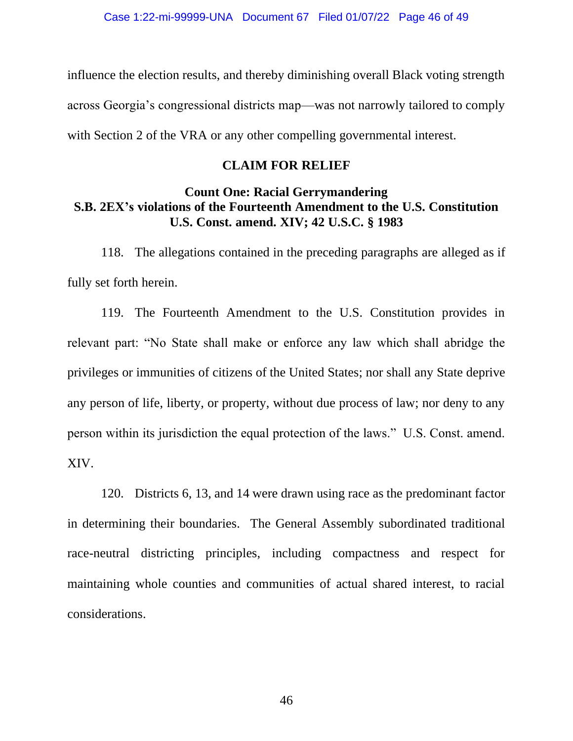influence the election results, and thereby diminishing overall Black voting strength across Georgia's congressional districts map—was not narrowly tailored to comply with Section 2 of the VRA or any other compelling governmental interest.

# **CLAIM FOR RELIEF**

# **Count One: Racial Gerrymandering S.B. 2EX's violations of the Fourteenth Amendment to the U.S. Constitution U.S. Const. amend. XIV; 42 U.S.C. § 1983**

118. The allegations contained in the preceding paragraphs are alleged as if fully set forth herein.

119. The Fourteenth Amendment to the U.S. Constitution provides in relevant part: "No State shall make or enforce any law which shall abridge the privileges or immunities of citizens of the United States; nor shall any State deprive any person of life, liberty, or property, without due process of law; nor deny to any person within its jurisdiction the equal protection of the laws." U.S. Const. amend. XIV.

120. Districts 6, 13, and 14 were drawn using race as the predominant factor in determining their boundaries. The General Assembly subordinated traditional race-neutral districting principles, including compactness and respect for maintaining whole counties and communities of actual shared interest, to racial considerations.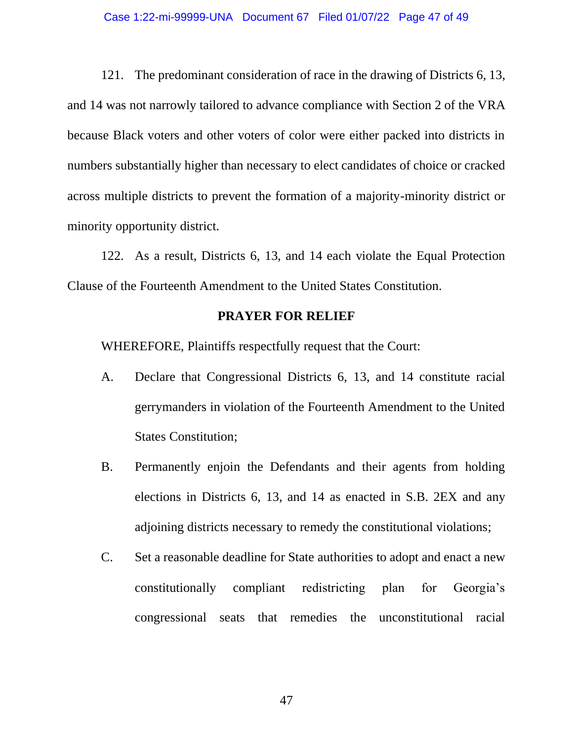## Case 1:22-mi-99999-UNA Document 67 Filed 01/07/22 Page 47 of 49

121. The predominant consideration of race in the drawing of Districts 6, 13, and 14 was not narrowly tailored to advance compliance with Section 2 of the VRA because Black voters and other voters of color were either packed into districts in numbers substantially higher than necessary to elect candidates of choice or cracked across multiple districts to prevent the formation of a majority-minority district or minority opportunity district.

122. As a result, Districts 6, 13, and 14 each violate the Equal Protection Clause of the Fourteenth Amendment to the United States Constitution.

# **PRAYER FOR RELIEF**

WHEREFORE, Plaintiffs respectfully request that the Court:

- A. Declare that Congressional Districts 6, 13, and 14 constitute racial gerrymanders in violation of the Fourteenth Amendment to the United States Constitution;
- B. Permanently enjoin the Defendants and their agents from holding elections in Districts 6, 13, and 14 as enacted in S.B. 2EX and any adjoining districts necessary to remedy the constitutional violations;
- C. Set a reasonable deadline for State authorities to adopt and enact a new constitutionally compliant redistricting plan for Georgia's congressional seats that remedies the unconstitutional racial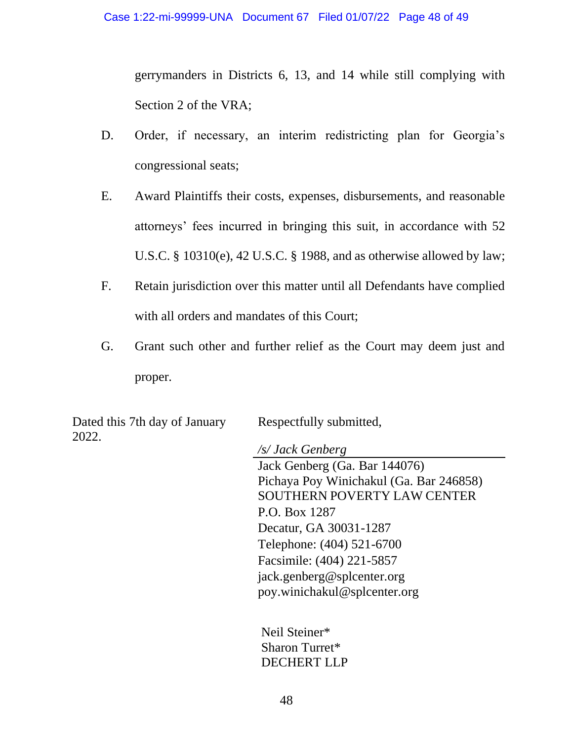gerrymanders in Districts 6, 13, and 14 while still complying with Section 2 of the VRA;

- D. Order, if necessary, an interim redistricting plan for Georgia's congressional seats;
- E. Award Plaintiffs their costs, expenses, disbursements, and reasonable attorneys' fees incurred in bringing this suit, in accordance with 52 U.S.C. § 10310(e), 42 U.S.C. § 1988, and as otherwise allowed by law;
- F. Retain jurisdiction over this matter until all Defendants have complied with all orders and mandates of this Court;
- G. Grant such other and further relief as the Court may deem just and proper.

Dated this 7th day of January 2022.

Respectfully submitted,

*/s/ Jack Genberg* Jack Genberg (Ga. Bar 144076) Pichaya Poy Winichakul (Ga. Bar 246858) SOUTHERN POVERTY LAW CENTER P.O. Box 1287 Decatur, GA 30031-1287 Telephone: (404) 521-6700 Facsimile: (404) 221-5857 jack.genberg@splcenter.org poy.winichakul@splcenter.org

Neil Steiner\* Sharon Turret\* DECHERT LLP